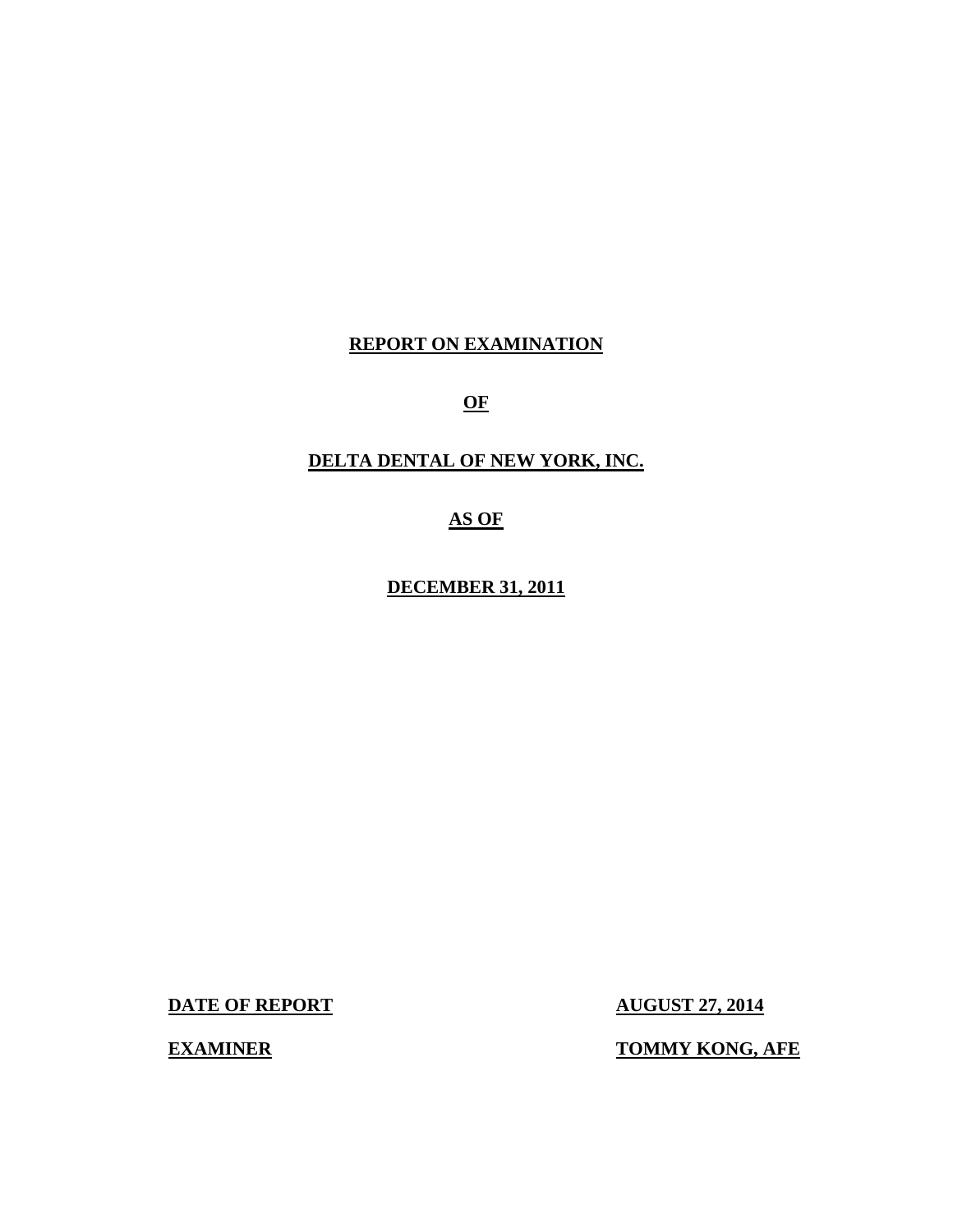# **REPORT ON EXAMINATION**

**OF** 

# **DELTA DENTAL OF NEW YORK, INC.**

**AS OF** 

**DECEMBER 31, 2011** 

**DATE OF REPORT AUGUST 27, 2014** 

**EXAMINER TOMMY KONG, AFE**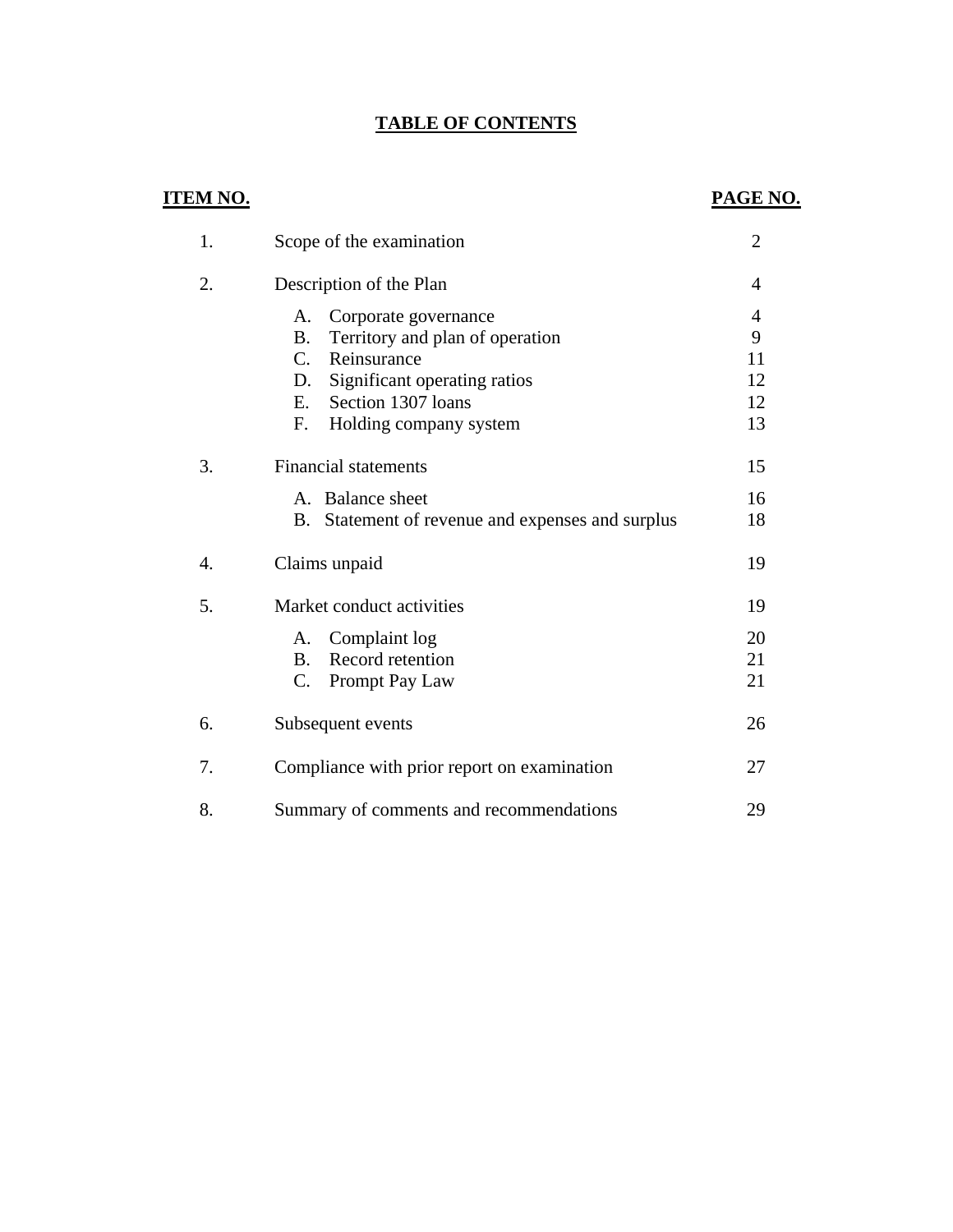# **TABLE OF CONTENTS**

| <b>ITEM NO.</b> |                                                            | PAGE NO.       |
|-----------------|------------------------------------------------------------|----------------|
| 1.              | Scope of the examination                                   | $\overline{2}$ |
| 2.              | Description of the Plan                                    | $\overline{4}$ |
|                 | Corporate governance<br>A.                                 | $\overline{4}$ |
|                 | <b>B.</b><br>Territory and plan of operation               | 9              |
|                 | $C_{\cdot}$<br>Reinsurance                                 | 11             |
|                 | Significant operating ratios<br>D.                         | 12             |
|                 | Section 1307 loans<br>E.                                   | 12             |
|                 | Holding company system<br>F.                               | 13             |
| 3.              | <b>Financial statements</b>                                | 15             |
|                 | A. Balance sheet                                           | 16             |
|                 | Statement of revenue and expenses and surplus<br><b>B.</b> | 18             |
| 4.              | Claims unpaid                                              | 19             |
| 5.              | Market conduct activities                                  | 19             |
|                 | Complaint log<br>A.                                        | 20             |
|                 | Record retention<br><b>B.</b>                              | 21             |
|                 | $\mathbf{C}$ .<br>Prompt Pay Law                           | 21             |
| 6.              | Subsequent events                                          | 26             |
| 7.              | Compliance with prior report on examination                | 27             |
| 8.              | Summary of comments and recommendations                    | 29             |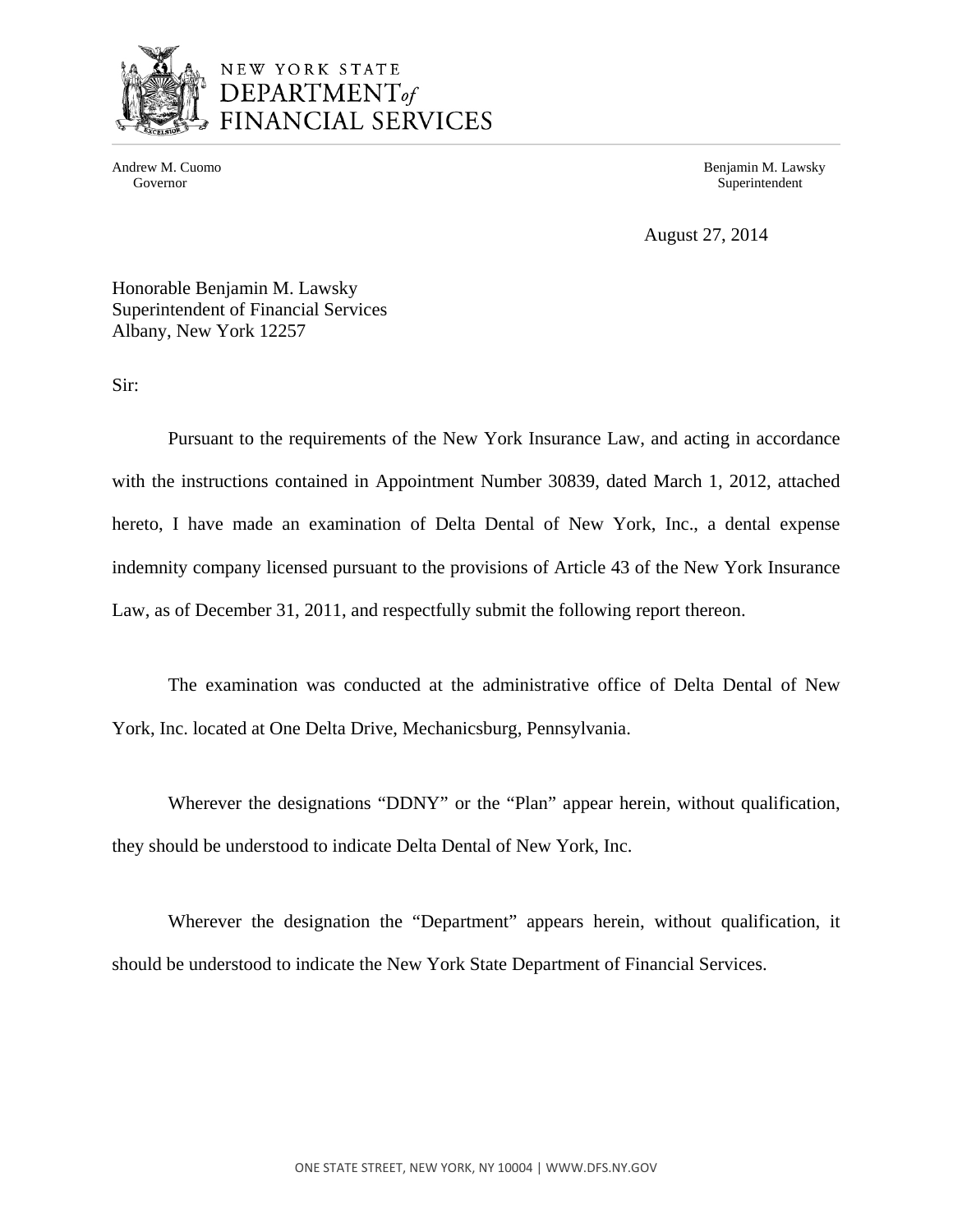

# NEW YORK STATE DEPARTMENT<sub>of</sub> FINANCIAL SERVICES

Andrew M. Cuomo **Benjamin M. Lawsky** Governor Superintendent Superintendent Superintendent Superintendent Superintendent Superintendent Superintendent Superintendent Superintendent Superintendent Superintendent Superintendent Superintendent Superintendent Sup

August 27, 2014

Honorable Benjamin M. Lawsky Superintendent of Financial Services Albany, New York 12257

Sir:

Pursuant to the requirements of the New York Insurance Law, and acting in accordance with the instructions contained in Appointment Number 30839, dated March 1, 2012, attached hereto, I have made an examination of Delta Dental of New York, Inc., a dental expense indemnity company licensed pursuant to the provisions of Article 43 of the New York Insurance Law, as of December 31, 2011, and respectfully submit the following report thereon.

The examination was conducted at the administrative office of Delta Dental of New York, Inc. located at One Delta Drive, Mechanicsburg, Pennsylvania.

Wherever the designations "DDNY" or the "Plan" appear herein, without qualification, they should be understood to indicate Delta Dental of New York, Inc.

Wherever the designation the "Department" appears herein, without qualification, it should be understood to indicate the New York State Department of Financial Services.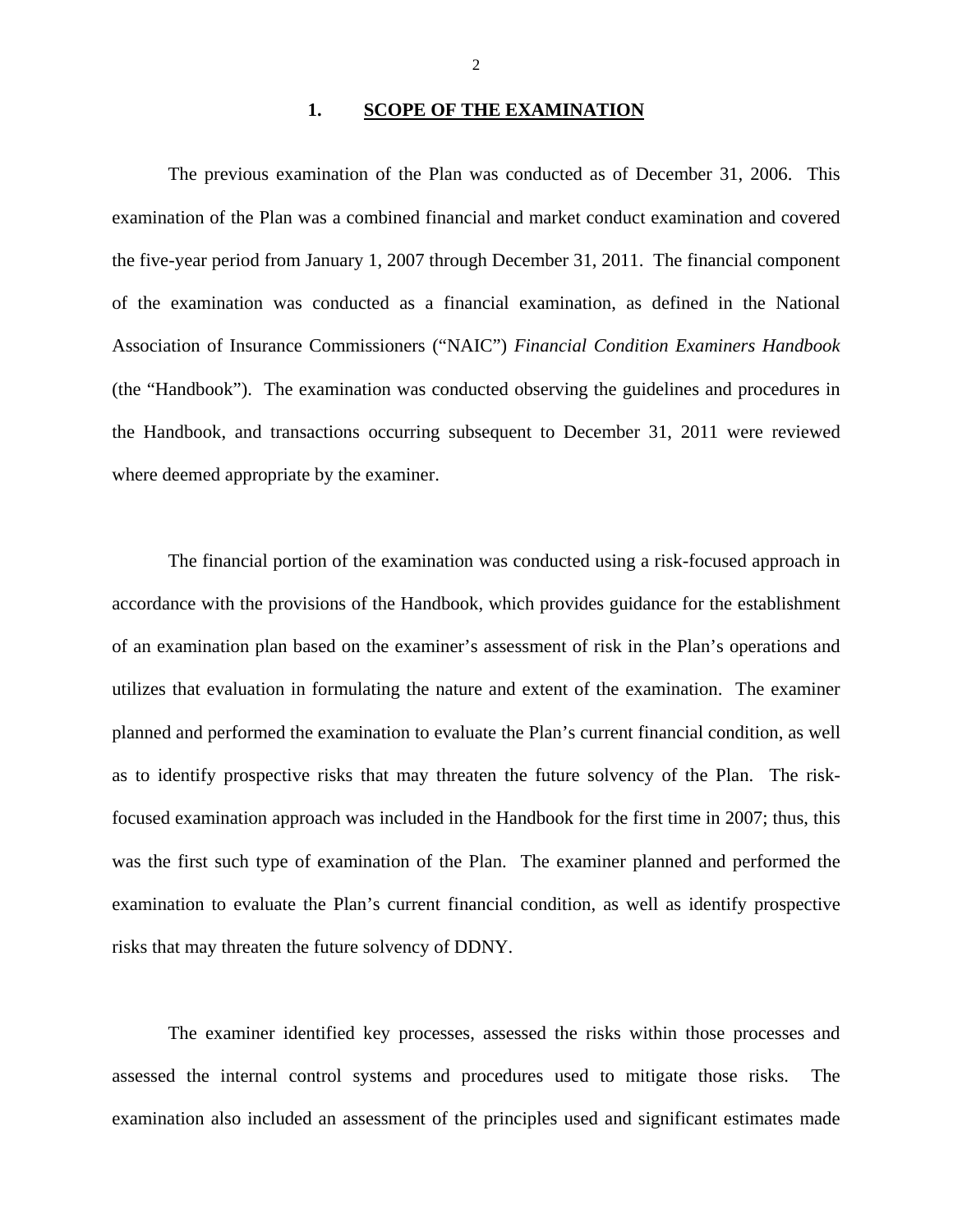### 1. SCOPE OF THE EXAMINATION

The previous examination of the Plan was conducted as of December 31, 2006. This examination of the Plan was a combined financial and market conduct examination and covered the five-year period from January 1, 2007 through December 31, 2011. The financial component of the examination was conducted as a financial examination, as defined in the National Association of Insurance Commissioners ("NAIC") *Financial Condition Examiners Handbook*  (the "Handbook"). The examination was conducted observing the guidelines and procedures in the Handbook, and transactions occurring subsequent to December 31, 2011 were reviewed where deemed appropriate by the examiner.

The financial portion of the examination was conducted using a risk-focused approach in accordance with the provisions of the Handbook, which provides guidance for the establishment of an examination plan based on the examiner's assessment of risk in the Plan's operations and utilizes that evaluation in formulating the nature and extent of the examination. The examiner planned and performed the examination to evaluate the Plan's current financial condition, as well as to identify prospective risks that may threaten the future solvency of the Plan. The riskfocused examination approach was included in the Handbook for the first time in 2007; thus, this was the first such type of examination of the Plan. The examiner planned and performed the examination to evaluate the Plan's current financial condition, as well as identify prospective risks that may threaten the future solvency of DDNY.

The examiner identified key processes, assessed the risks within those processes and assessed the internal control systems and procedures used to mitigate those risks. The examination also included an assessment of the principles used and significant estimates made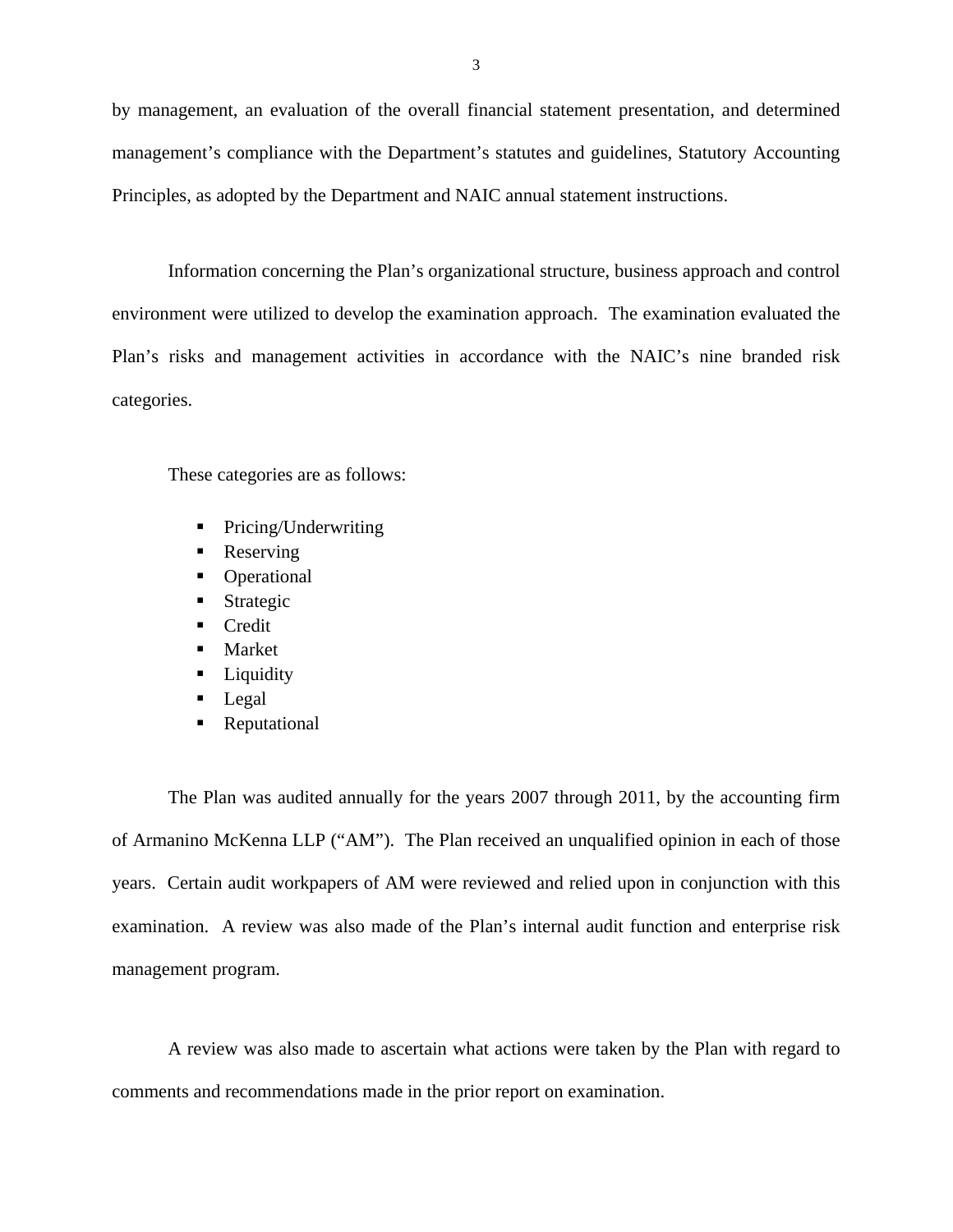by management, an evaluation of the overall financial statement presentation, and determined management's compliance with the Department's statutes and guidelines, Statutory Accounting Principles, as adopted by the Department and NAIC annual statement instructions.

Information concerning the Plan's organizational structure, business approach and control environment were utilized to develop the examination approach. The examination evaluated the Plan's risks and management activities in accordance with the NAIC's nine branded risk categories.

These categories are as follows:

- Pricing/Underwriting
- Reserving
- Operational
- **Strategic**
- Credit
- **Market**
- **Liquidity**
- Legal
- Reputational

The Plan was audited annually for the years 2007 through 2011, by the accounting firm of Armanino McKenna LLP ("AM"). The Plan received an unqualified opinion in each of those years. Certain audit workpapers of AM were reviewed and relied upon in conjunction with this examination. A review was also made of the Plan's internal audit function and enterprise risk management program.

A review was also made to ascertain what actions were taken by the Plan with regard to comments and recommendations made in the prior report on examination.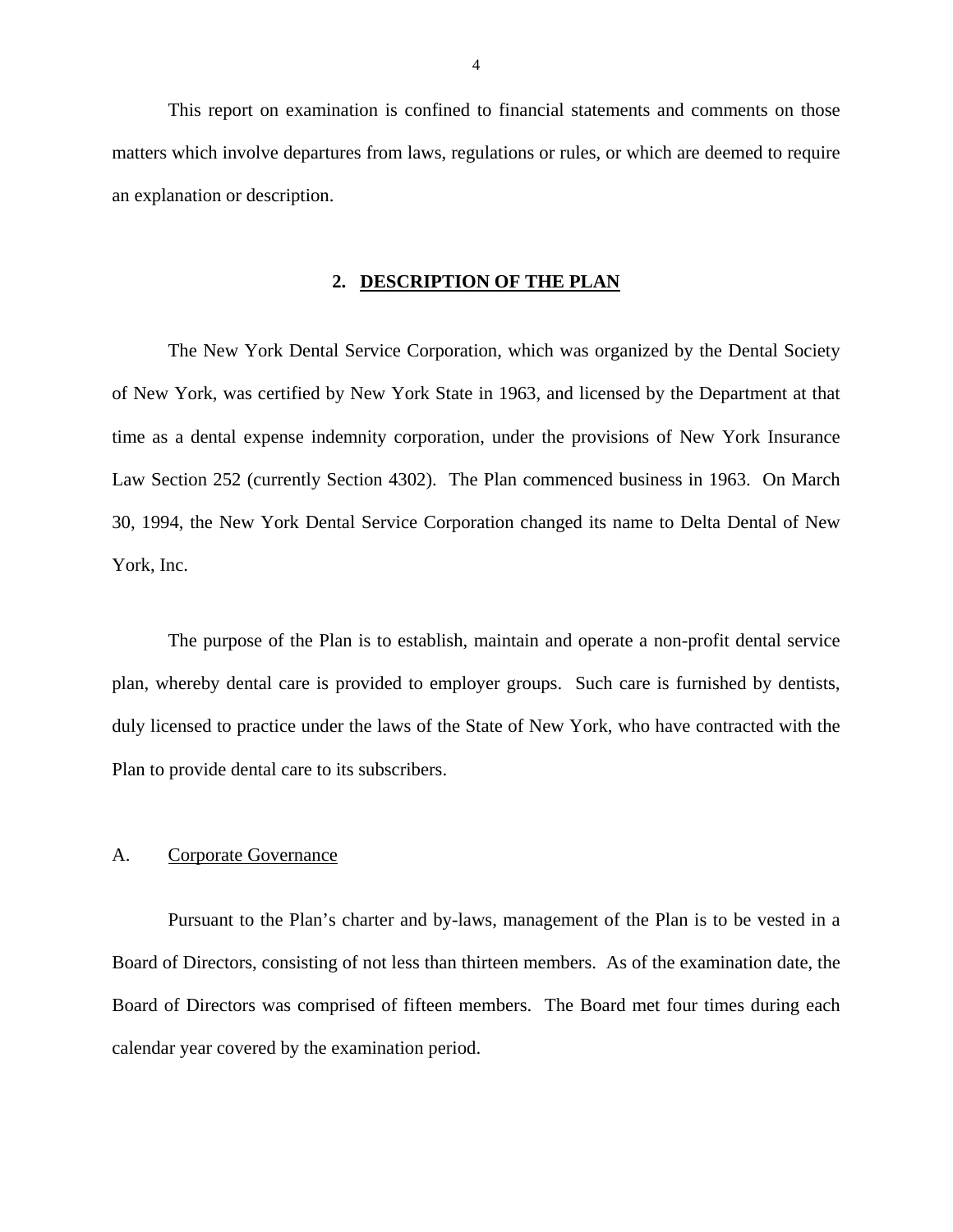This report on examination is confined to financial statements and comments on those matters which involve departures from laws, regulations or rules, or which are deemed to require an explanation or description.

### **2. DESCRIPTION OF THE PLAN**

The New York Dental Service Corporation, which was organized by the Dental Society of New York, was certified by New York State in 1963, and licensed by the Department at that time as a dental expense indemnity corporation, under the provisions of New York Insurance Law Section 252 (currently Section 4302). The Plan commenced business in 1963. On March 30, 1994, the New York Dental Service Corporation changed its name to Delta Dental of New York, Inc.

The purpose of the Plan is to establish, maintain and operate a non-profit dental service plan, whereby dental care is provided to employer groups. Such care is furnished by dentists, duly licensed to practice under the laws of the State of New York, who have contracted with the Plan to provide dental care to its subscribers.

### A. Corporate Governance

Pursuant to the Plan's charter and by-laws, management of the Plan is to be vested in a Board of Directors, consisting of not less than thirteen members. As of the examination date, the Board of Directors was comprised of fifteen members. The Board met four times during each calendar year covered by the examination period.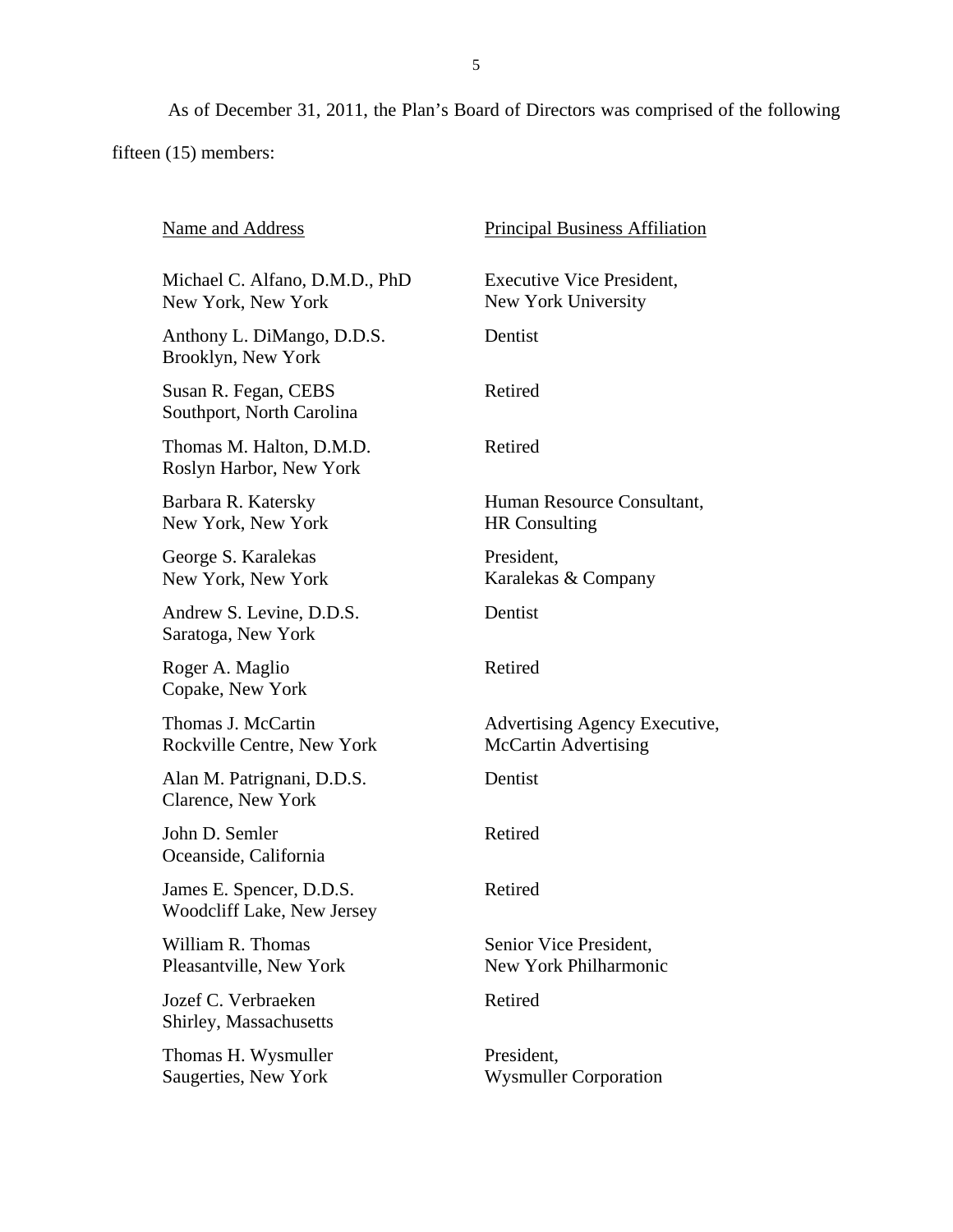As of December 31, 2011, the Plan's Board of Directors was comprised of the following fifteen (15) members:

| Name and Address                                       | <b>Principal Business Affiliation</b>                   |
|--------------------------------------------------------|---------------------------------------------------------|
| Michael C. Alfano, D.M.D., PhD<br>New York, New York   | <b>Executive Vice President,</b><br>New York University |
| Anthony L. DiMango, D.D.S.<br>Brooklyn, New York       | Dentist                                                 |
| Susan R. Fegan, CEBS<br>Southport, North Carolina      | Retired                                                 |
| Thomas M. Halton, D.M.D.<br>Roslyn Harbor, New York    | Retired                                                 |
| Barbara R. Katersky<br>New York, New York              | Human Resource Consultant,<br><b>HR</b> Consulting      |
| George S. Karalekas<br>New York, New York              | President,<br>Karalekas & Company                       |
| Andrew S. Levine, D.D.S.<br>Saratoga, New York         | Dentist                                                 |
| Roger A. Maglio<br>Copake, New York                    | Retired                                                 |
| Thomas J. McCartin<br>Rockville Centre, New York       | Advertising Agency Executive,<br>McCartin Advertising   |
| Alan M. Patrignani, D.D.S.<br>Clarence, New York       | Dentist                                                 |
| John D. Semler<br>Oceanside, California                | Retired                                                 |
| James E. Spencer, D.D.S.<br>Woodcliff Lake, New Jersey | Retired                                                 |
| William R. Thomas<br>Pleasantville, New York           | Senior Vice President,<br>New York Philharmonic         |
| Jozef C. Verbraeken<br>Shirley, Massachusetts          | Retired                                                 |
| Thomas H. Wysmuller<br>Saugerties, New York            | President,<br><b>Wysmuller Corporation</b>              |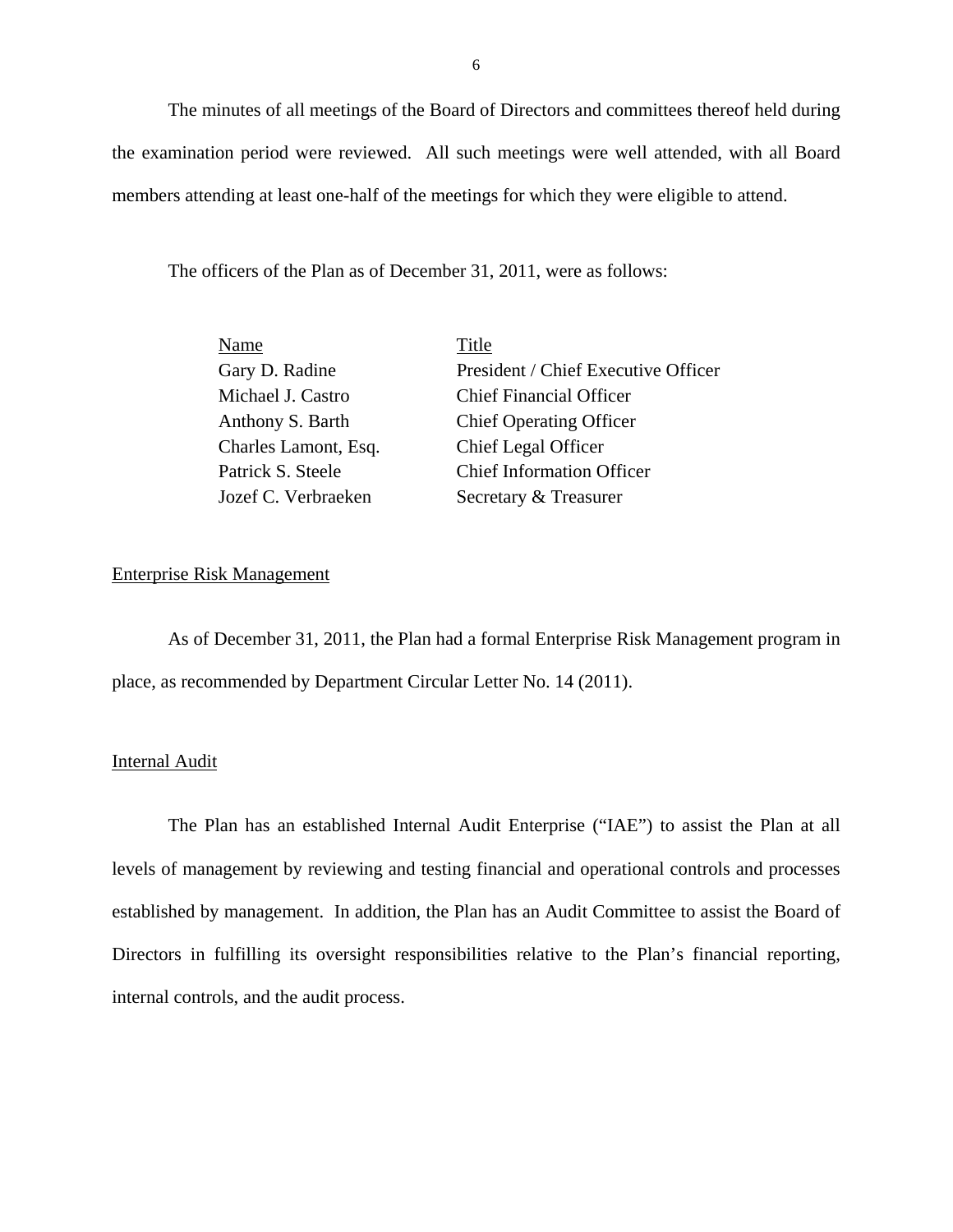The minutes of all meetings of the Board of Directors and committees thereof held during the examination period were reviewed. All such meetings were well attended, with all Board members attending at least one-half of the meetings for which they were eligible to attend.

The officers of the Plan as of December 31, 2011, were as follows:

| Name                 | Title                               |
|----------------------|-------------------------------------|
| Gary D. Radine       | President / Chief Executive Officer |
| Michael J. Castro    | <b>Chief Financial Officer</b>      |
| Anthony S. Barth     | <b>Chief Operating Officer</b>      |
| Charles Lamont, Esq. | <b>Chief Legal Officer</b>          |
| Patrick S. Steele    | <b>Chief Information Officer</b>    |
| Jozef C. Verbraeken  | Secretary & Treasurer               |

### Enterprise Risk Management

As of December 31, 2011, the Plan had a formal Enterprise Risk Management program in place, as recommended by Department Circular Letter No. 14 (2011).

### Internal Audit

The Plan has an established Internal Audit Enterprise ("IAE") to assist the Plan at all levels of management by reviewing and testing financial and operational controls and processes established by management. In addition, the Plan has an Audit Committee to assist the Board of Directors in fulfilling its oversight responsibilities relative to the Plan's financial reporting, internal controls, and the audit process.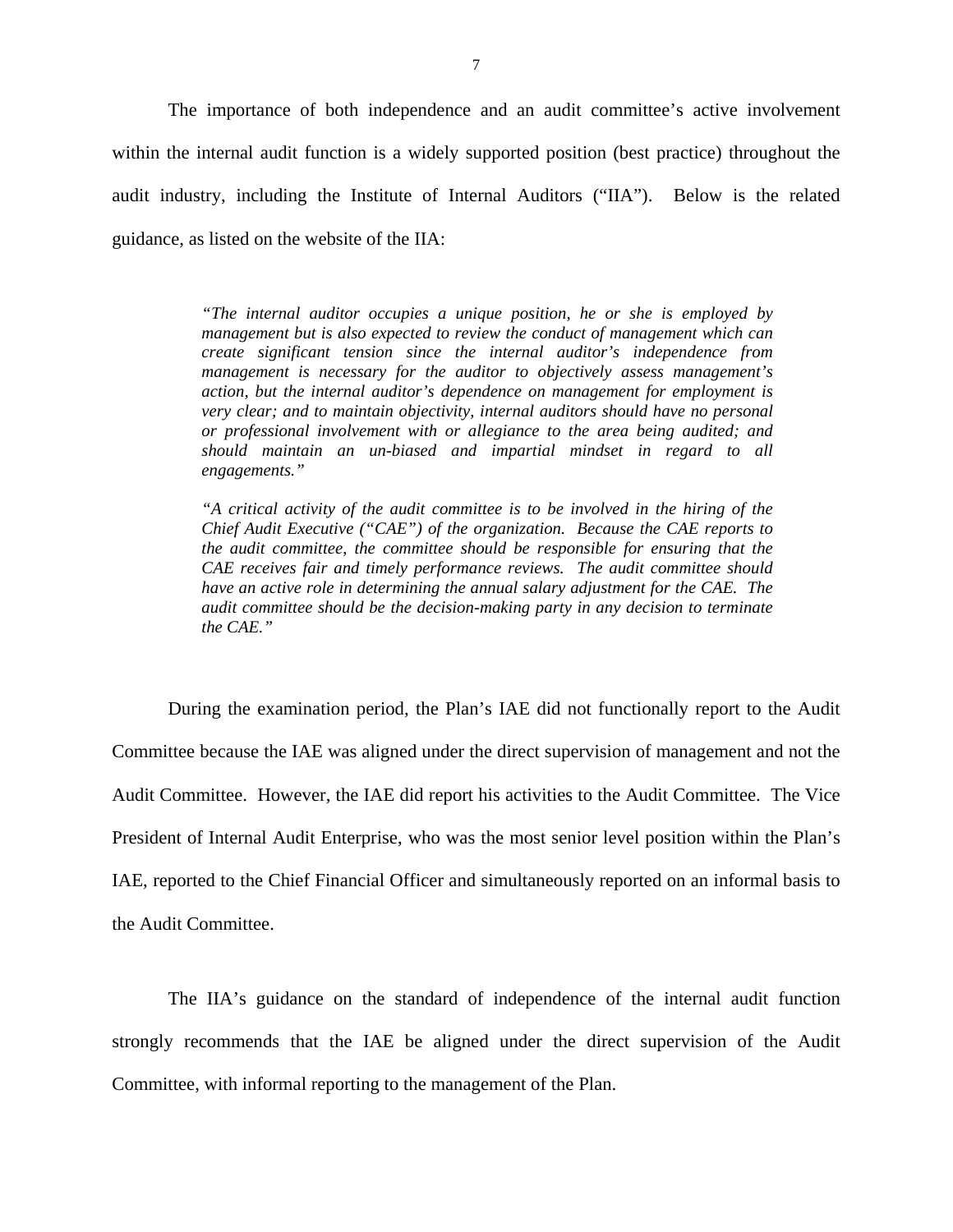The importance of both independence and an audit committee's active involvement within the internal audit function is a widely supported position (best practice) throughout the audit industry, including the Institute of Internal Auditors ("IIA"). Below is the related guidance, as listed on the website of the IIA:

> *"The internal auditor occupies a unique position, he or she is employed by management but is also expected to review the conduct of management which can create significant tension since the internal auditor's independence from management is necessary for the auditor to objectively assess management's action, but the internal auditor's dependence on management for employment is very clear; and to maintain objectivity, internal auditors should have no personal or professional involvement with or allegiance to the area being audited; and should maintain an un-biased and impartial mindset in regard to all engagements."*

> *"A critical activity of the audit committee is to be involved in the hiring of the Chief Audit Executive ("CAE") of the organization. Because the CAE reports to the audit committee, the committee should be responsible for ensuring that the CAE receives fair and timely performance reviews. The audit committee should have an active role in determining the annual salary adjustment for the CAE. The audit committee should be the decision-making party in any decision to terminate the CAE."*

During the examination period, the Plan's IAE did not functionally report to the Audit Committee because the IAE was aligned under the direct supervision of management and not the Audit Committee. However, the IAE did report his activities to the Audit Committee. The Vice President of Internal Audit Enterprise, who was the most senior level position within the Plan's IAE, reported to the Chief Financial Officer and simultaneously reported on an informal basis to the Audit Committee.

The IIA's guidance on the standard of independence of the internal audit function strongly recommends that the IAE be aligned under the direct supervision of the Audit Committee, with informal reporting to the management of the Plan.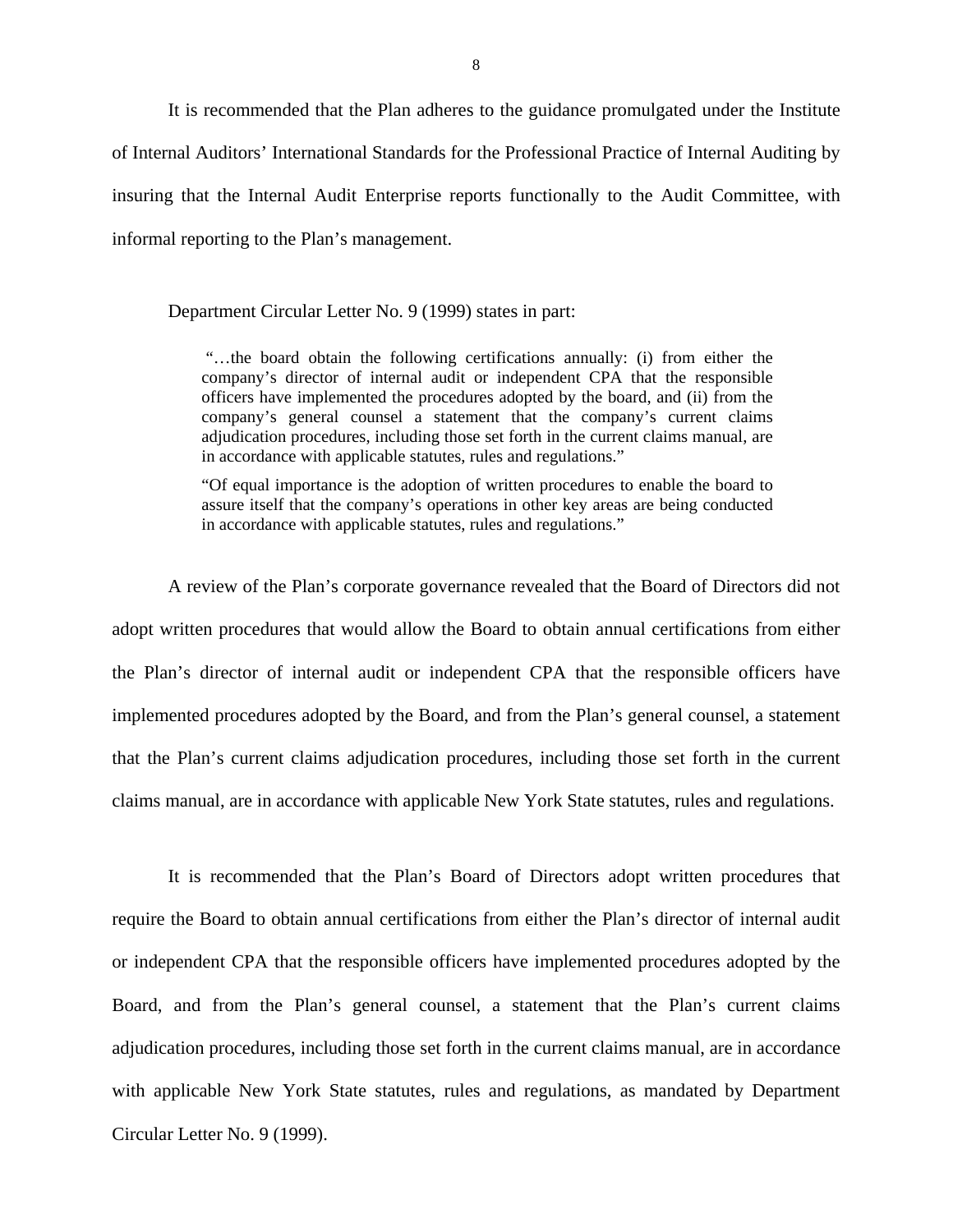It is recommended that the Plan adheres to the guidance promulgated under the Institute of Internal Auditors' International Standards for the Professional Practice of Internal Auditing by insuring that the Internal Audit Enterprise reports functionally to the Audit Committee, with informal reporting to the Plan's management.

Department Circular Letter No. 9 (1999) states in part:

 adjudication procedures, including those set forth in the current claims manual, are "…the board obtain the following certifications annually: (i) from either the company's director of internal audit or independent CPA that the responsible officers have implemented the procedures adopted by the board, and (ii) from the company's general counsel a statement that the company's current claims in accordance with applicable statutes, rules and regulations."

"Of equal importance is the adoption of written procedures to enable the board to assure itself that the company's operations in other key areas are being conducted in accordance with applicable statutes, rules and regulations."

A review of the Plan's corporate governance revealed that the Board of Directors did not adopt written procedures that would allow the Board to obtain annual certifications from either the Plan's director of internal audit or independent CPA that the responsible officers have implemented procedures adopted by the Board, and from the Plan's general counsel, a statement that the Plan's current claims adjudication procedures, including those set forth in the current claims manual, are in accordance with applicable New York State statutes, rules and regulations.

It is recommended that the Plan's Board of Directors adopt written procedures that require the Board to obtain annual certifications from either the Plan's director of internal audit or independent CPA that the responsible officers have implemented procedures adopted by the Board, and from the Plan's general counsel, a statement that the Plan's current claims adjudication procedures, including those set forth in the current claims manual, are in accordance with applicable New York State statutes, rules and regulations, as mandated by Department Circular Letter No. 9 (1999).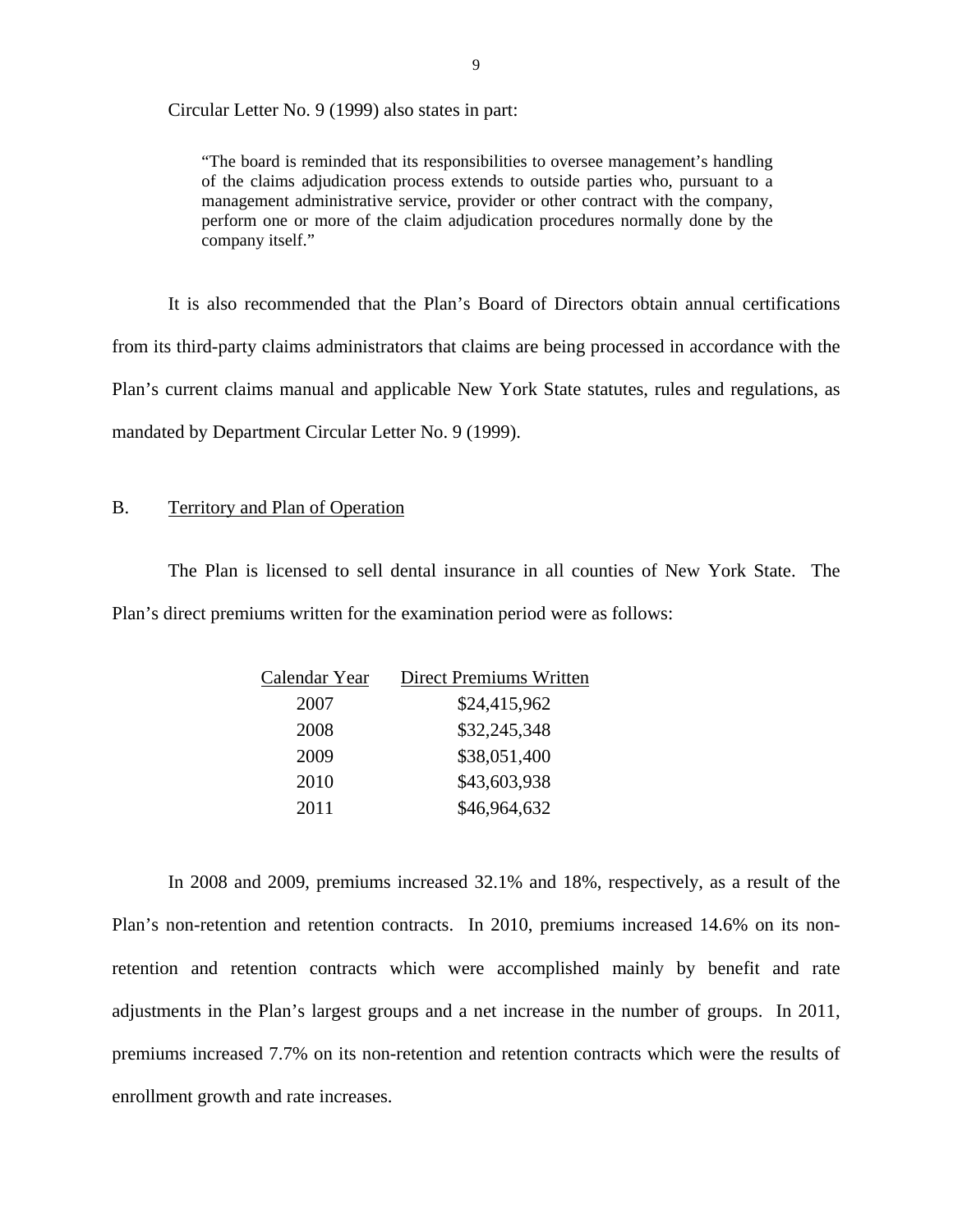Circular Letter No. 9 (1999) also states in part:

"The board is reminded that its responsibilities to oversee management's handling of the claims adjudication process extends to outside parties who, pursuant to a management administrative service, provider or other contract with the company, perform one or more of the claim adjudication procedures normally done by the company itself."

It is also recommended that the Plan's Board of Directors obtain annual certifications from its third-party claims administrators that claims are being processed in accordance with the Plan's current claims manual and applicable New York State statutes, rules and regulations, as mandated by Department Circular Letter No. 9 (1999).

### B. Territory and Plan of Operation

The Plan is licensed to sell dental insurance in all counties of New York State. The Plan's direct premiums written for the examination period were as follows:

| \$24,415,962<br>2007<br>\$32,245,348<br>2008<br>\$38,051,400<br>2009<br>\$43,603,938<br>2010<br>\$46,964,632<br>2011 | Calendar Year | <b>Direct Premiums Written</b> |
|----------------------------------------------------------------------------------------------------------------------|---------------|--------------------------------|
|                                                                                                                      |               |                                |
|                                                                                                                      |               |                                |
|                                                                                                                      |               |                                |
|                                                                                                                      |               |                                |
|                                                                                                                      |               |                                |

In 2008 and 2009, premiums increased 32.1% and 18%, respectively, as a result of the Plan's non-retention and retention contracts. In 2010, premiums increased 14.6% on its nonretention and retention contracts which were accomplished mainly by benefit and rate adjustments in the Plan's largest groups and a net increase in the number of groups. In 2011, premiums increased 7.7% on its non-retention and retention contracts which were the results of enrollment growth and rate increases.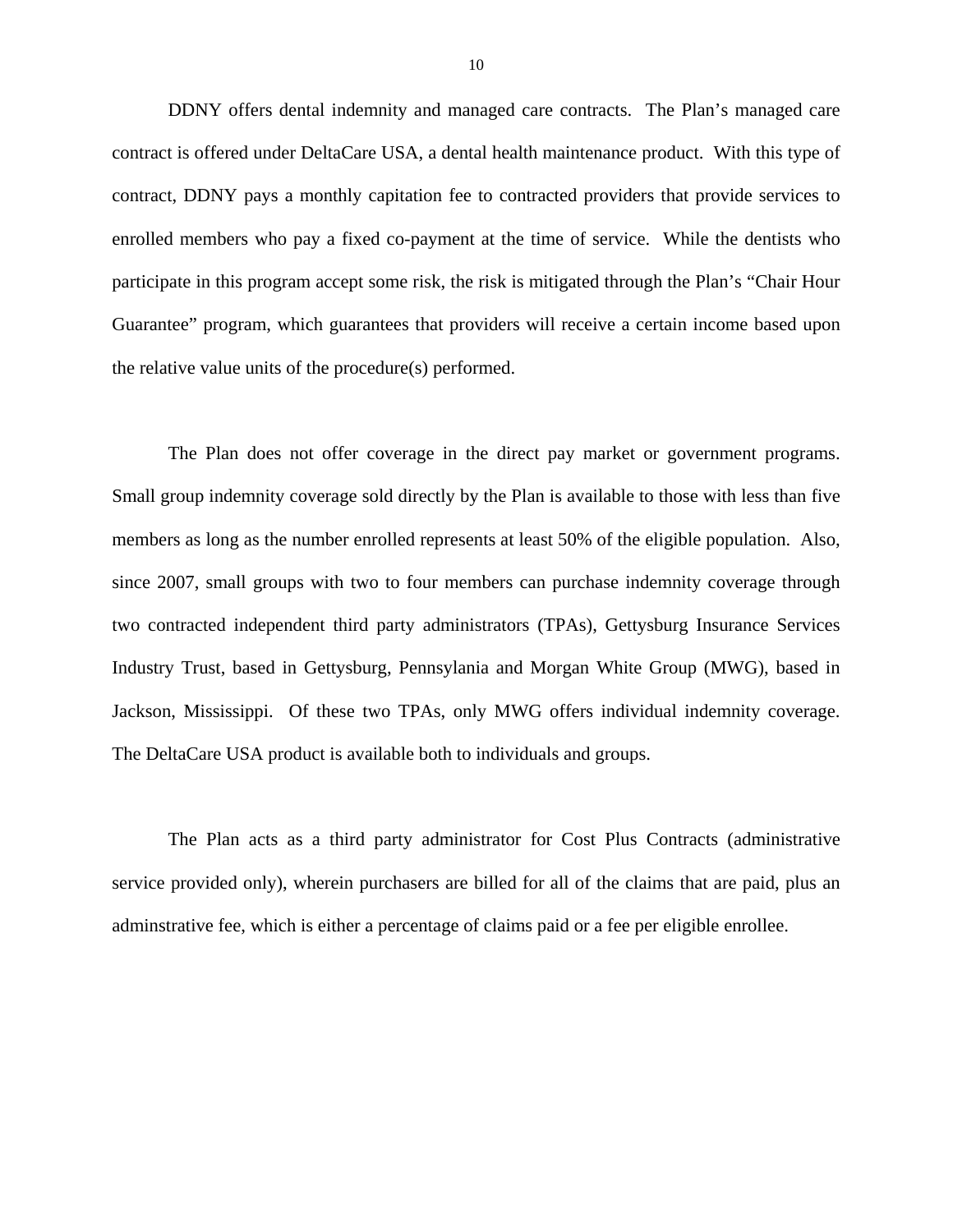DDNY offers dental indemnity and managed care contracts. The Plan's managed care contract is offered under DeltaCare USA, a dental health maintenance product. With this type of contract, DDNY pays a monthly capitation fee to contracted providers that provide services to enrolled members who pay a fixed co-payment at the time of service. While the dentists who participate in this program accept some risk, the risk is mitigated through the Plan's "Chair Hour Guarantee" program, which guarantees that providers will receive a certain income based upon the relative value units of the procedure(s) performed.

The Plan does not offer coverage in the direct pay market or government programs. Small group indemnity coverage sold directly by the Plan is available to those with less than five members as long as the number enrolled represents at least 50% of the eligible population. Also, since 2007, small groups with two to four members can purchase indemnity coverage through two contracted independent third party administrators (TPAs), Gettysburg Insurance Services Industry Trust, based in Gettysburg, Pennsylania and Morgan White Group (MWG), based in Jackson, Mississippi. Of these two TPAs, only MWG offers individual indemnity coverage. The DeltaCare USA product is available both to individuals and groups.

The Plan acts as a third party administrator for Cost Plus Contracts (administrative service provided only), wherein purchasers are billed for all of the claims that are paid, plus an adminstrative fee, which is either a percentage of claims paid or a fee per eligible enrollee.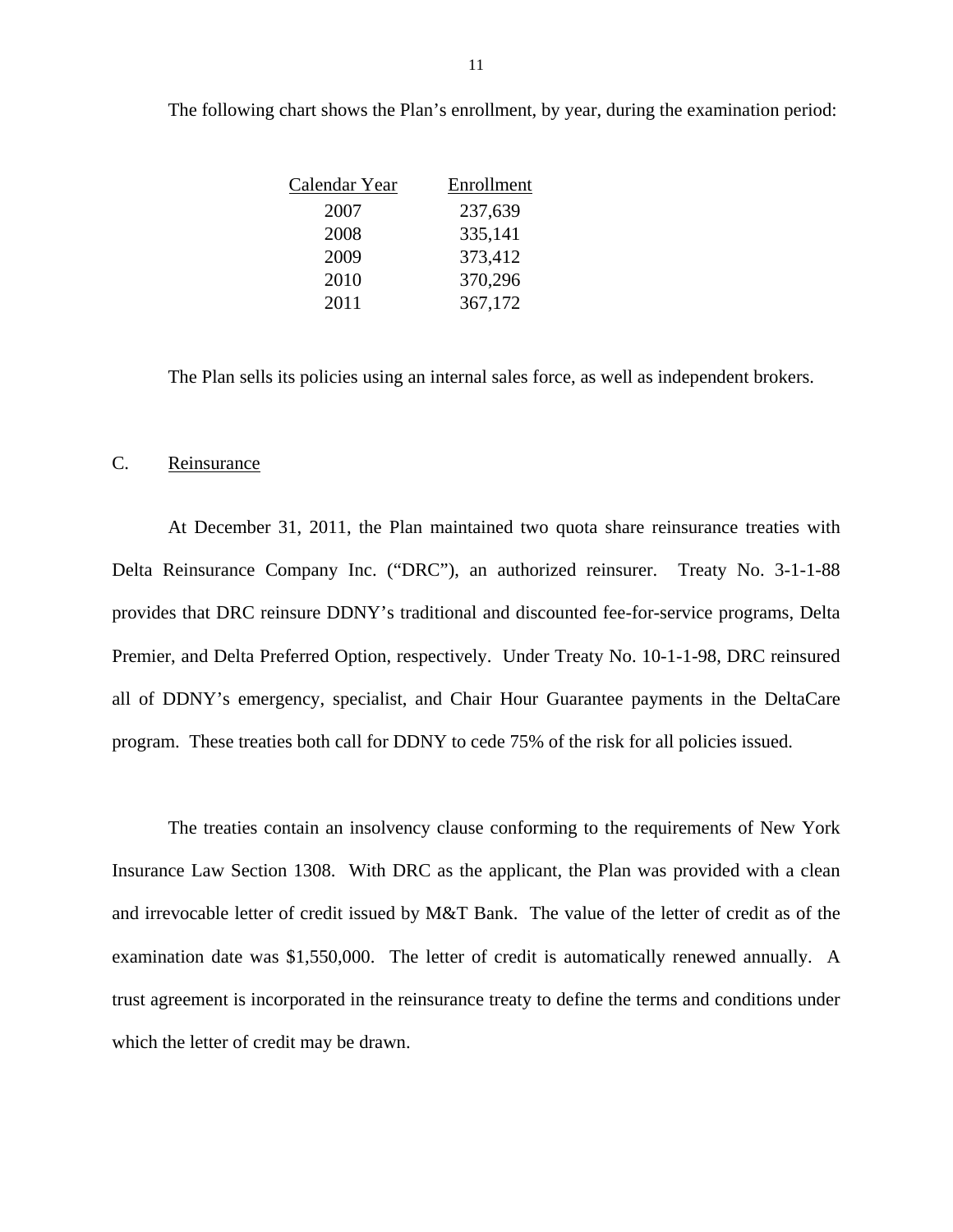| Calendar Year | Enrollment |
|---------------|------------|
| 2007          | 237,639    |
| 2008          | 335,141    |
| 2009          | 373,412    |
| 2010          | 370,296    |
| 2011          | 367,172    |

The following chart shows the Plan's enrollment, by year, during the examination period:

The Plan sells its policies using an internal sales force, as well as independent brokers.

### C. Reinsurance

At December 31, 2011, the Plan maintained two quota share reinsurance treaties with Delta Reinsurance Company Inc. ("DRC"), an authorized reinsurer. Treaty No. 3-1-1-88 provides that DRC reinsure DDNY's traditional and discounted fee-for-service programs, Delta Premier, and Delta Preferred Option, respectively. Under Treaty No. 10-1-1-98, DRC reinsured all of DDNY's emergency, specialist, and Chair Hour Guarantee payments in the DeltaCare program. These treaties both call for DDNY to cede 75% of the risk for all policies issued.

The treaties contain an insolvency clause conforming to the requirements of New York Insurance Law Section 1308. With DRC as the applicant, the Plan was provided with a clean and irrevocable letter of credit issued by M&T Bank. The value of the letter of credit as of the examination date was \$1,550,000. The letter of credit is automatically renewed annually. A trust agreement is incorporated in the reinsurance treaty to define the terms and conditions under which the letter of credit may be drawn.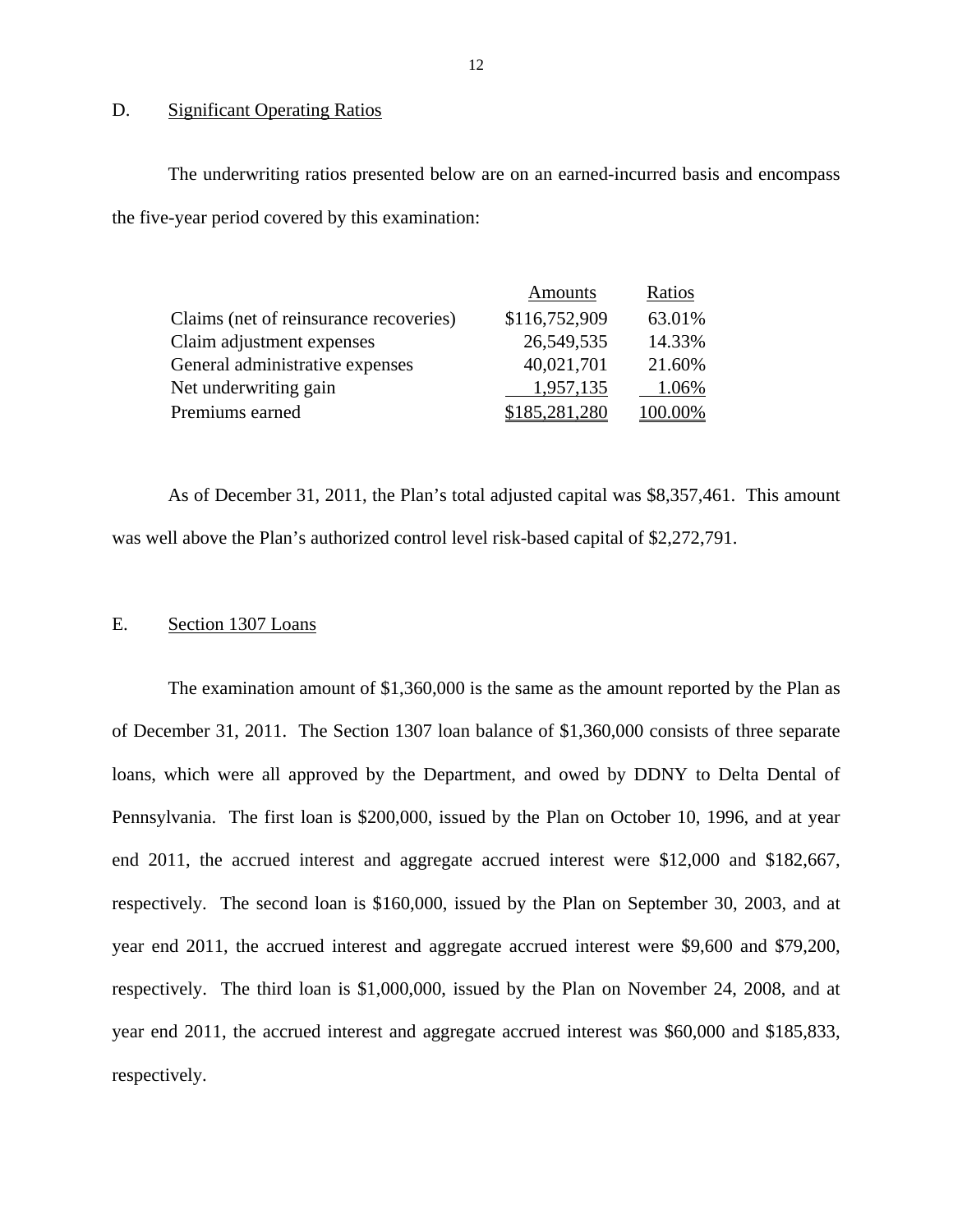### D. Significant Operating Ratios

The underwriting ratios presented below are on an earned-incurred basis and encompass the five-year period covered by this examination:

|                                        | Amounts       | Ratios  |
|----------------------------------------|---------------|---------|
| Claims (net of reinsurance recoveries) | \$116,752,909 | 63.01%  |
| Claim adjustment expenses              | 26,549,535    | 14.33%  |
| General administrative expenses        | 40,021,701    | 21.60%  |
| Net underwriting gain                  | 1,957,135     | 1.06%   |
| Premiums earned                        | \$185,281,280 | 100.00% |

As of December 31, 2011, the Plan's total adjusted capital was \$8,357,461. This amount was well above the Plan's authorized control level risk-based capital of \$2,272,791.

### E. Section 1307 Loans

The examination amount of \$1,360,000 is the same as the amount reported by the Plan as of December 31, 2011. The Section 1307 loan balance of \$1,360,000 consists of three separate loans, which were all approved by the Department, and owed by DDNY to Delta Dental of Pennsylvania. The first loan is \$200,000, issued by the Plan on October 10, 1996, and at year end 2011, the accrued interest and aggregate accrued interest were \$12,000 and \$182,667, respectively. The second loan is \$160,000, issued by the Plan on September 30, 2003, and at year end 2011, the accrued interest and aggregate accrued interest were \$9,600 and \$79,200, respectively. The third loan is \$1,000,000, issued by the Plan on November 24, 2008, and at year end 2011, the accrued interest and aggregate accrued interest was \$60,000 and \$185,833, respectively.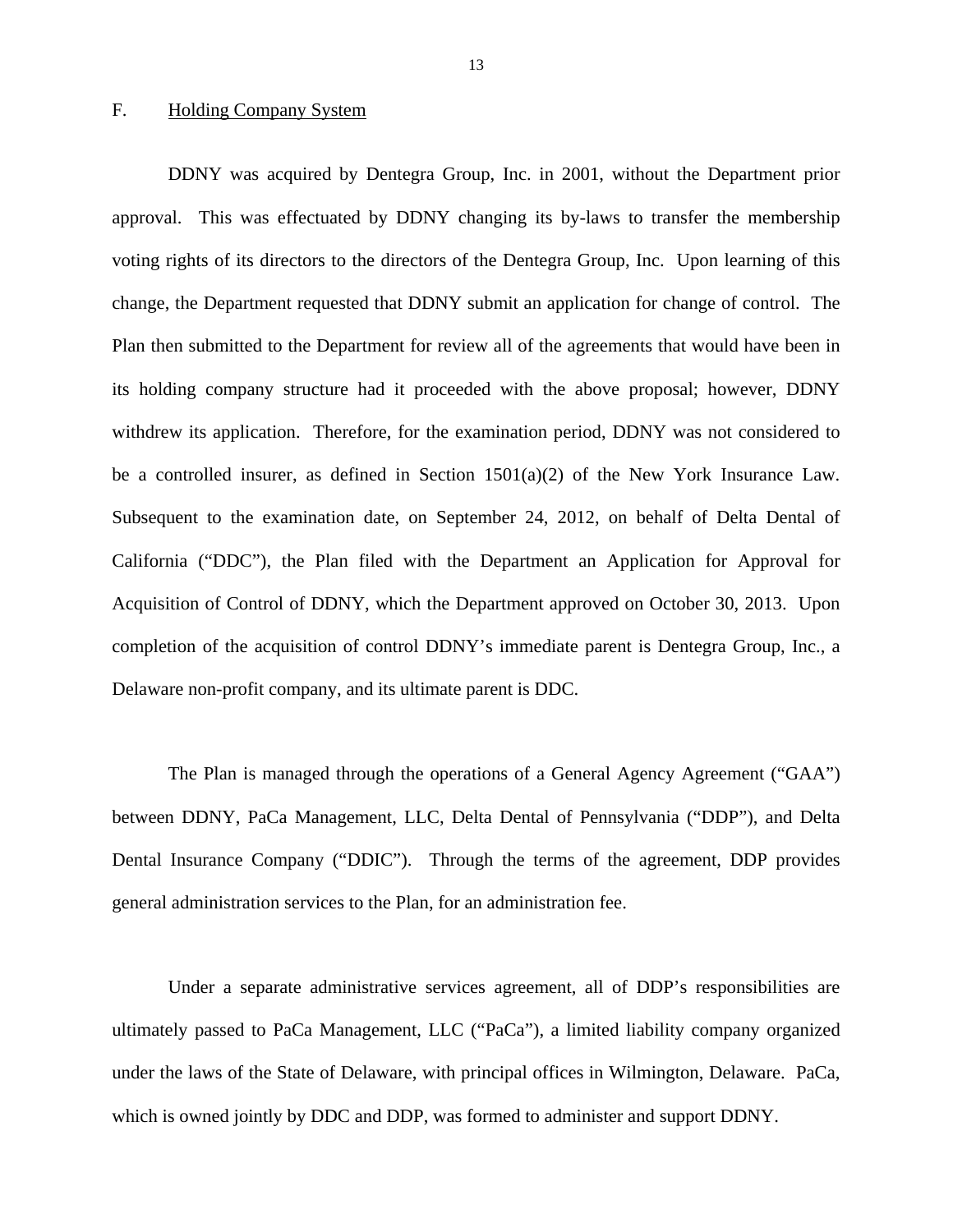### F. Holding Company System

be a controlled insurer, as defined in Section  $1501(a)(2)$  of the New York Insurance Law. DDNY was acquired by Dentegra Group, Inc. in 2001, without the Department prior approval. This was effectuated by DDNY changing its by-laws to transfer the membership voting rights of its directors to the directors of the Dentegra Group, Inc. Upon learning of this change, the Department requested that DDNY submit an application for change of control. The Plan then submitted to the Department for review all of the agreements that would have been in its holding company structure had it proceeded with the above proposal; however, DDNY withdrew its application. Therefore, for the examination period, DDNY was not considered to Subsequent to the examination date, on September 24, 2012, on behalf of Delta Dental of California ("DDC"), the Plan filed with the Department an Application for Approval for Acquisition of Control of DDNY, which the Department approved on October 30, 2013. Upon completion of the acquisition of control DDNY's immediate parent is Dentegra Group, Inc., a Delaware non-profit company, and its ultimate parent is DDC.

The Plan is managed through the operations of a General Agency Agreement ("GAA") between DDNY, PaCa Management, LLC, Delta Dental of Pennsylvania ("DDP"), and Delta Dental Insurance Company ("DDIC"). Through the terms of the agreement, DDP provides general administration services to the Plan, for an administration fee.

Under a separate administrative services agreement, all of DDP's responsibilities are ultimately passed to PaCa Management, LLC ("PaCa"), a limited liability company organized under the laws of the State of Delaware, with principal offices in Wilmington, Delaware. PaCa, which is owned jointly by DDC and DDP, was formed to administer and support DDNY.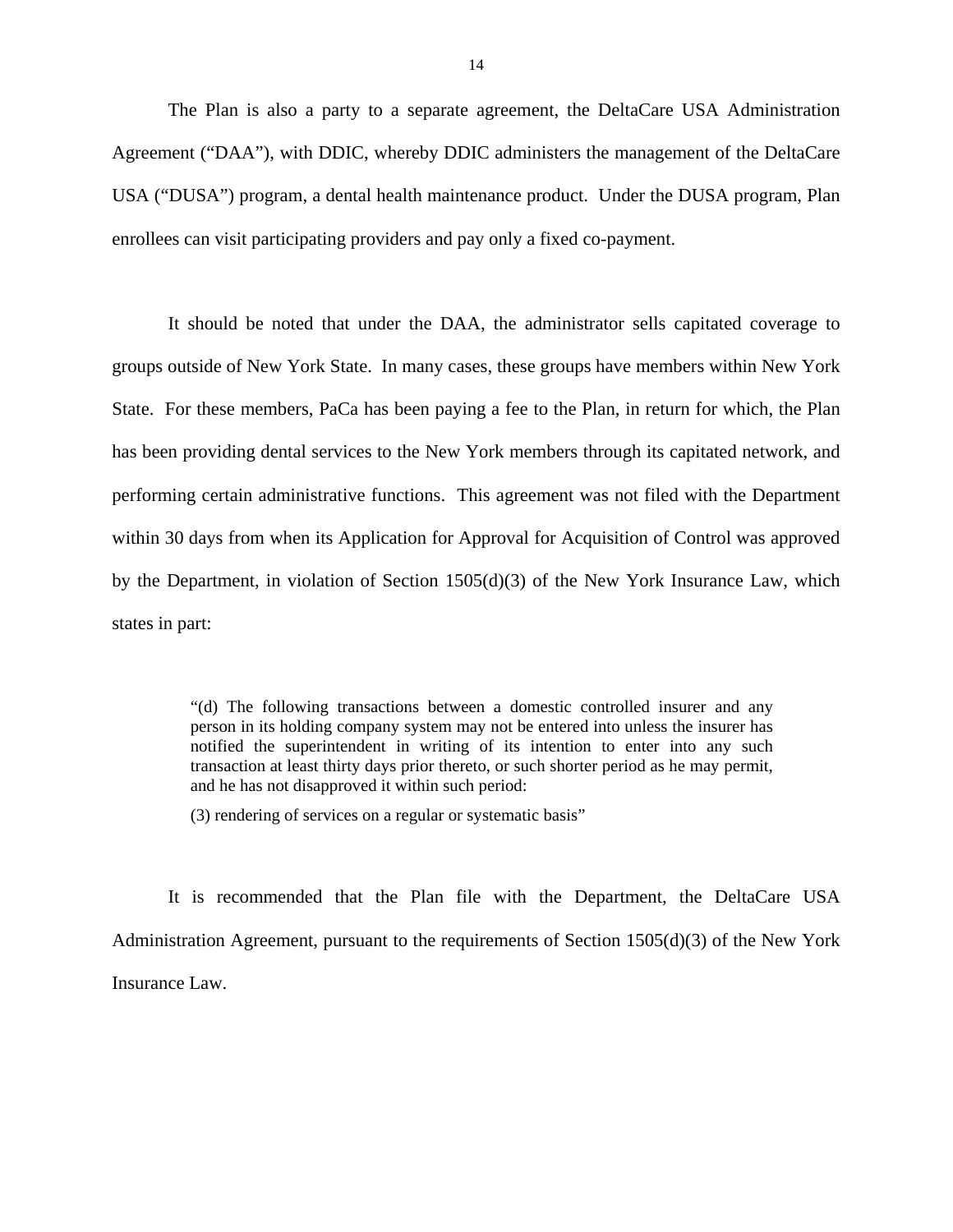The Plan is also a party to a separate agreement, the DeltaCare USA Administration Agreement ("DAA"), with DDIC, whereby DDIC administers the management of the DeltaCare USA ("DUSA") program, a dental health maintenance product. Under the DUSA program, Plan enrollees can visit participating providers and pay only a fixed co-payment.

It should be noted that under the DAA, the administrator sells capitated coverage to groups outside of New York State. In many cases, these groups have members within New York State. For these members, PaCa has been paying a fee to the Plan, in return for which, the Plan has been providing dental services to the New York members through its capitated network, and performing certain administrative functions. This agreement was not filed with the Department within 30 days from when its Application for Approval for Acquisition of Control was approved by the Department, in violation of Section 1505(d)(3) of the New York Insurance Law, which states in part:

> person in its holding company system may not be entered into unless the insurer has "(d) The following transactions between a domestic controlled insurer and any notified the superintendent in writing of its intention to enter into any such transaction at least thirty days prior thereto, or such shorter period as he may permit, and he has not disapproved it within such period:

(3) rendering of services on a regular or systematic basis"

It is recommended that the Plan file with the Department, the DeltaCare USA Administration Agreement, pursuant to the requirements of Section 1505(d)(3) of the New York Insurance Law.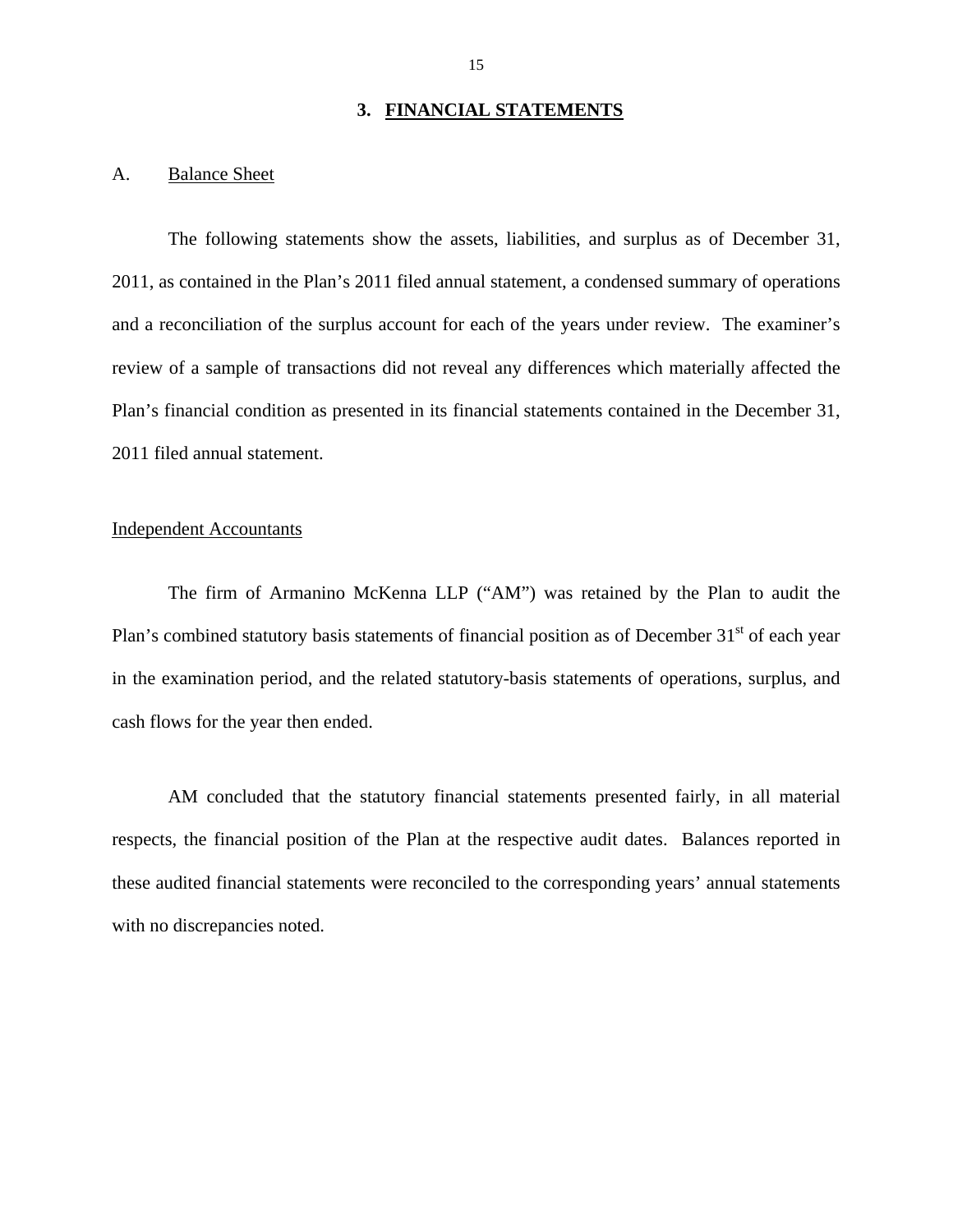### **3. FINANCIAL STATEMENTS**

### A. Balance Sheet

The following statements show the assets, liabilities, and surplus as of December 31, 2011, as contained in the Plan's 2011 filed annual statement, a condensed summary of operations and a reconciliation of the surplus account for each of the years under review. The examiner's review of a sample of transactions did not reveal any differences which materially affected the Plan's financial condition as presented in its financial statements contained in the December 31, 2011 filed annual statement.

### Independent Accountants

The firm of Armanino McKenna LLP ("AM") was retained by the Plan to audit the Plan's combined statutory basis statements of financial position as of December  $31<sup>st</sup>$  of each year in the examination period, and the related statutory-basis statements of operations, surplus, and cash flows for the year then ended.

AM concluded that the statutory financial statements presented fairly, in all material respects, the financial position of the Plan at the respective audit dates. Balances reported in these audited financial statements were reconciled to the corresponding years' annual statements with no discrepancies noted.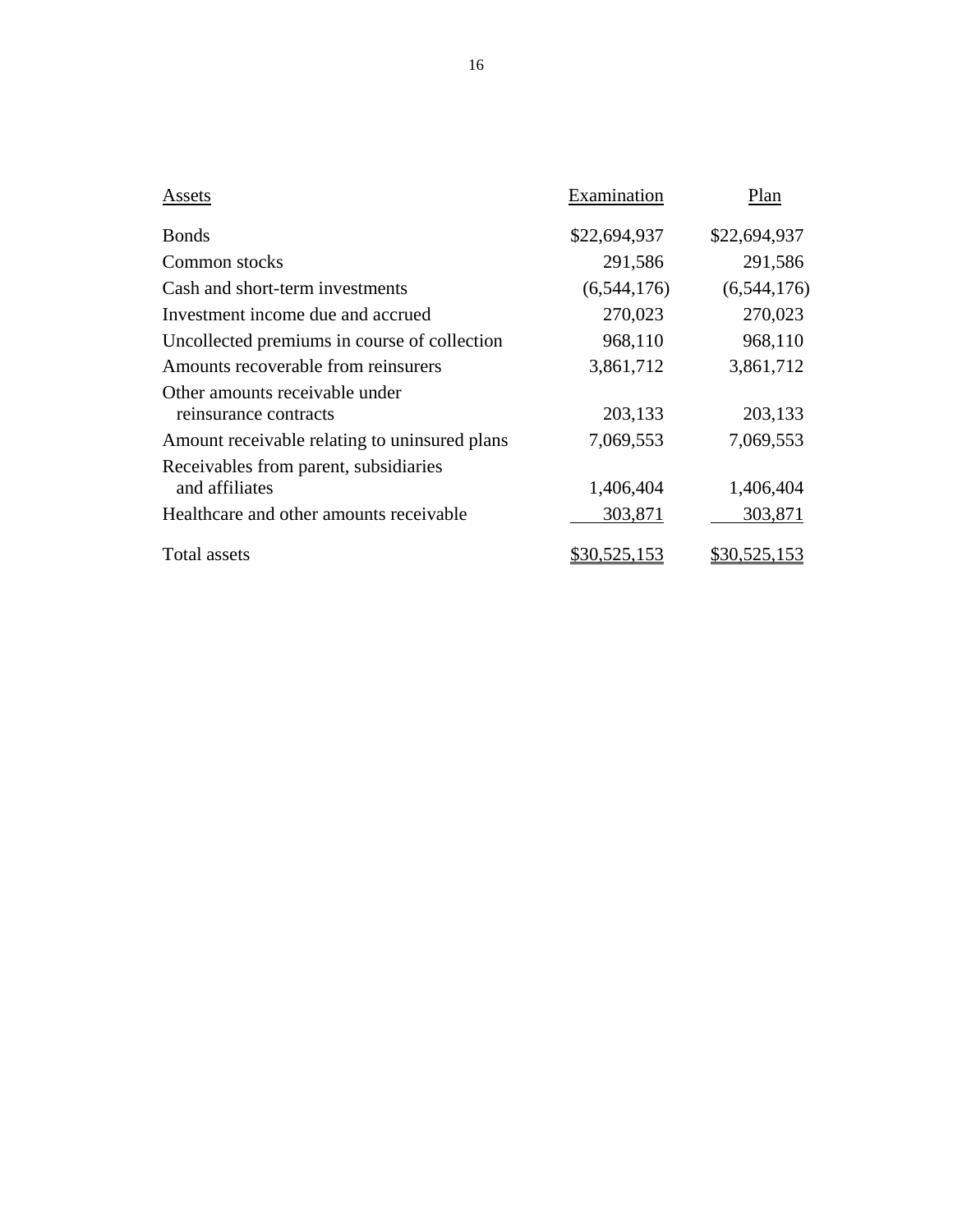| Assets                                                  | Examination  | Plan         |
|---------------------------------------------------------|--------------|--------------|
| <b>Bonds</b>                                            | \$22,694,937 | \$22,694,937 |
| Common stocks                                           | 291,586      | 291,586      |
| Cash and short-term investments                         | (6,544,176)  | (6,544,176)  |
| Investment income due and accrued                       | 270,023      | 270,023      |
| Uncollected premiums in course of collection            | 968,110      | 968,110      |
| Amounts recoverable from reinsurers                     | 3,861,712    | 3,861,712    |
| Other amounts receivable under<br>reinsurance contracts | 203,133      | 203,133      |
| Amount receivable relating to uninsured plans           | 7,069,553    | 7,069,553    |
| Receivables from parent, subsidiaries<br>and affiliates | 1,406,404    | 1,406,404    |
| Healthcare and other amounts receivable                 | 303,871      | 303,871      |
| <b>Total assets</b>                                     | \$30,525,153 | \$30,525,153 |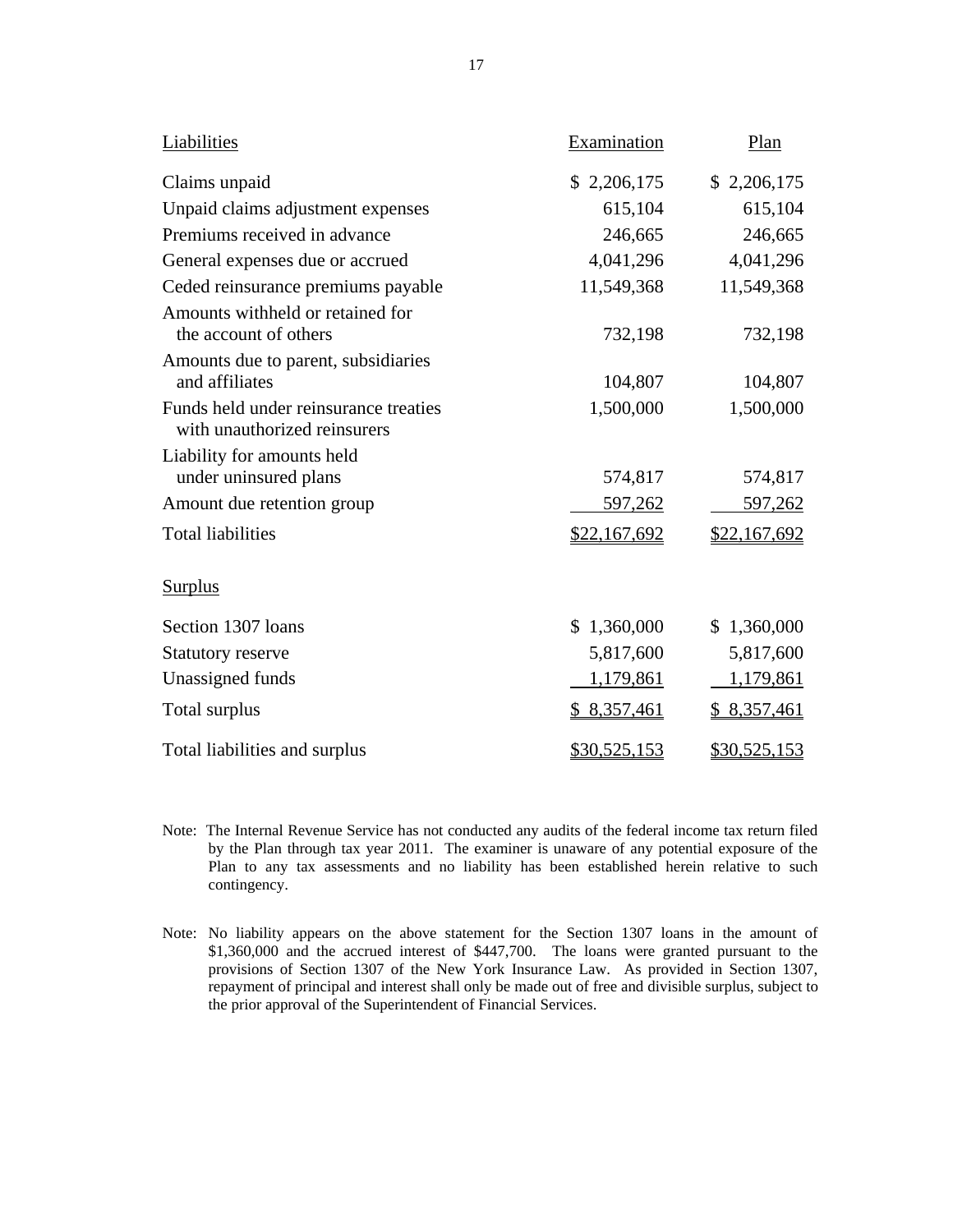| Liabilities                                                           | Examination  | Plan         |
|-----------------------------------------------------------------------|--------------|--------------|
| Claims unpaid                                                         | \$2,206,175  | \$2,206,175  |
| Unpaid claims adjustment expenses                                     | 615,104      | 615,104      |
| Premiums received in advance                                          | 246,665      | 246,665      |
| General expenses due or accrued                                       | 4,041,296    | 4,041,296    |
| Ceded reinsurance premiums payable                                    | 11,549,368   | 11,549,368   |
| Amounts withheld or retained for<br>the account of others             | 732,198      | 732,198      |
| Amounts due to parent, subsidiaries<br>and affiliates                 | 104,807      | 104,807      |
| Funds held under reinsurance treaties<br>with unauthorized reinsurers | 1,500,000    | 1,500,000    |
| Liability for amounts held                                            |              |              |
| under uninsured plans                                                 | 574,817      | 574,817      |
| Amount due retention group                                            | 597,262      | 597,262      |
| <b>Total liabilities</b>                                              | \$22,167,692 | \$22,167,692 |
| <b>Surplus</b>                                                        |              |              |
| Section 1307 loans                                                    | \$1,360,000  | \$1,360,000  |
| <b>Statutory reserve</b>                                              | 5,817,600    | 5,817,600    |
| Unassigned funds                                                      | 1,179,861    | 1,179,861    |
| Total surplus                                                         | \$8,357,461  | \$8,357,461  |
| Total liabilities and surplus                                         | \$30,525,153 | \$30,525,153 |

- Plan to any tax assessments and no liability has been established herein relative to such Note: The Internal Revenue Service has not conducted any audits of the federal income tax return filed by the Plan through tax year 2011. The examiner is unaware of any potential exposure of the contingency.
- Note: No liability appears on the above statement for the Section 1307 loans in the amount of \$1,360,000 and the accrued interest of \$447,700. The loans were granted pursuant to the provisions of Section 1307 of the New York Insurance Law. As provided in Section 1307, repayment of principal and interest shall only be made out of free and divisible surplus, subject to the prior approval of the Superintendent of Financial Services.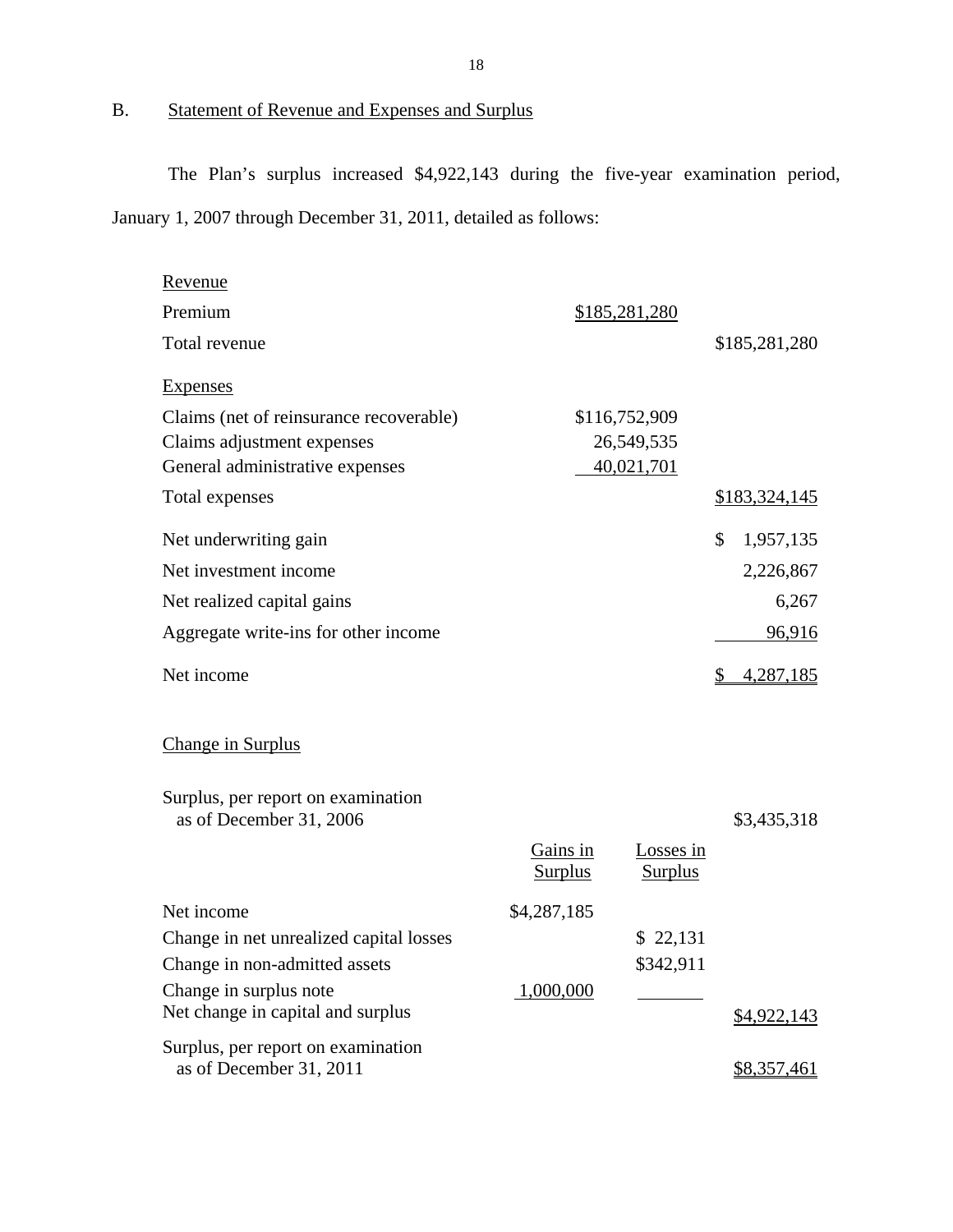## B. Statement of Revenue and Expenses and Surplus

The Plan's surplus increased \$4,922,143 during the five-year examination period, January 1, 2007 through December 31, 2011, detailed as follows:

| Revenue                                                       |                            |                                    |    |               |
|---------------------------------------------------------------|----------------------------|------------------------------------|----|---------------|
| Premium                                                       |                            | \$185,281,280                      |    |               |
| Total revenue                                                 |                            |                                    |    | \$185,281,280 |
| <b>Expenses</b>                                               |                            |                                    |    |               |
| Claims (net of reinsurance recoverable)                       |                            | \$116,752,909                      |    |               |
| Claims adjustment expenses                                    |                            | 26,549,535                         |    |               |
| General administrative expenses                               |                            | 40,021,701                         |    |               |
| Total expenses                                                |                            |                                    |    | \$183,324,145 |
| Net underwriting gain                                         |                            |                                    | \$ | 1,957,135     |
| Net investment income                                         |                            |                                    |    | 2,226,867     |
| Net realized capital gains                                    |                            |                                    |    | 6,267         |
| Aggregate write-ins for other income                          |                            |                                    |    | 96,916        |
| Net income                                                    |                            |                                    | S. | 4,287,185     |
| Change in Surplus                                             |                            |                                    |    |               |
| Surplus, per report on examination<br>as of December 31, 2006 |                            |                                    |    | \$3,435,318   |
|                                                               | Gains in<br><b>Surplus</b> | <b>Losses</b> in<br><b>Surplus</b> |    |               |
| Net income                                                    | \$4,287,185                |                                    |    |               |
| Change in net unrealized capital losses                       |                            | \$22,131                           |    |               |
| Change in non-admitted assets                                 |                            | \$342,911                          |    |               |
| Change in surplus note                                        | 1,000,000                  |                                    |    |               |
| Net change in capital and surplus                             |                            |                                    |    | \$4,922,143   |
| Surplus, per report on examination                            |                            |                                    |    |               |
| as of December 31, 2011                                       |                            |                                    |    | \$8,357,461   |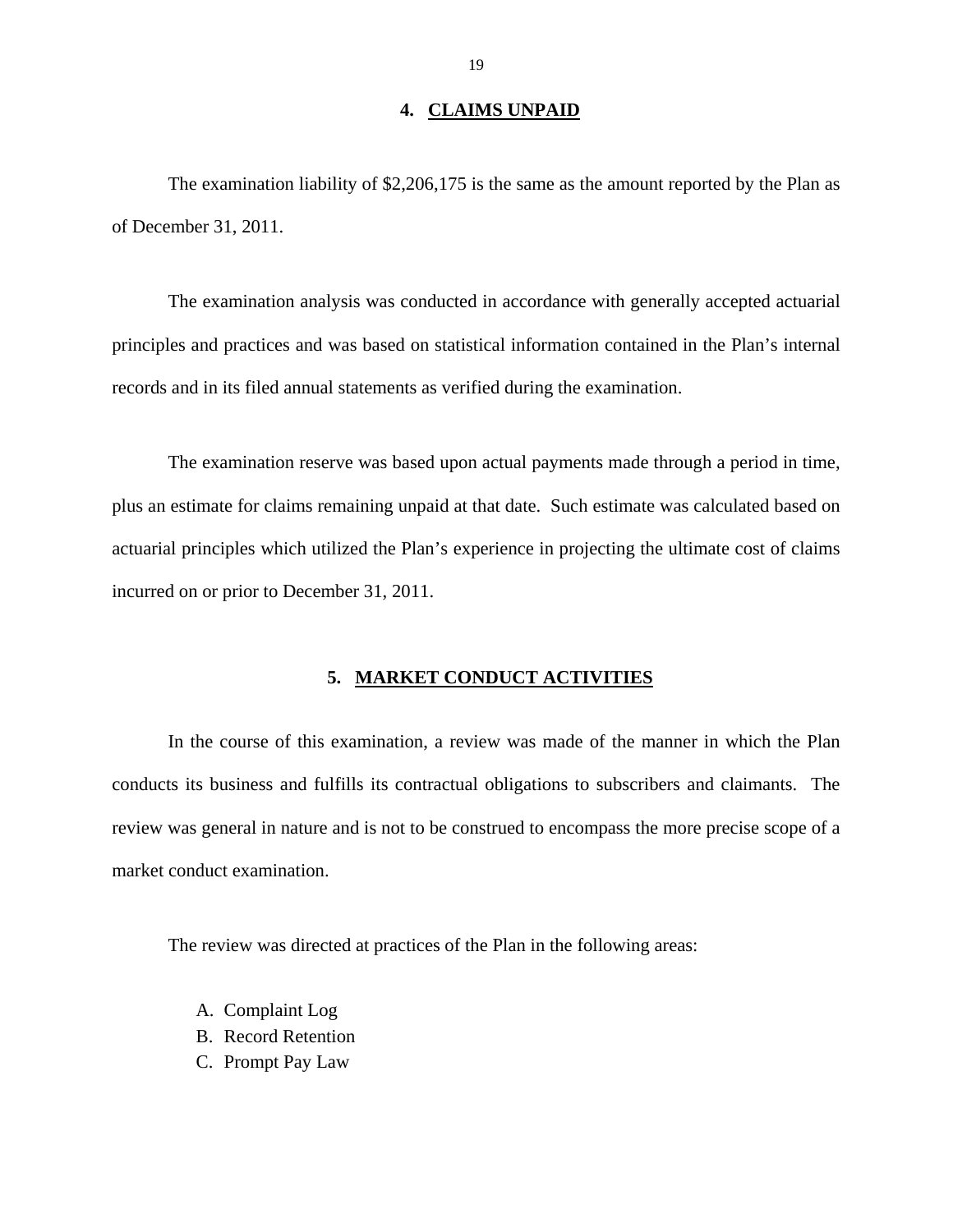### **4. CLAIMS UNPAID**

The examination liability of \$2,206,175 is the same as the amount reported by the Plan as of December 31, 2011.

The examination analysis was conducted in accordance with generally accepted actuarial principles and practices and was based on statistical information contained in the Plan's internal records and in its filed annual statements as verified during the examination.

The examination reserve was based upon actual payments made through a period in time, plus an estimate for claims remaining unpaid at that date. Such estimate was calculated based on actuarial principles which utilized the Plan's experience in projecting the ultimate cost of claims incurred on or prior to December 31, 2011.

### **5. MARKET CONDUCT ACTIVITIES**

In the course of this examination, a review was made of the manner in which the Plan conducts its business and fulfills its contractual obligations to subscribers and claimants. The review was general in nature and is not to be construed to encompass the more precise scope of a market conduct examination.

The review was directed at practices of the Plan in the following areas:

- A. Complaint Log
- B. Record Retention
- C. Prompt Pay Law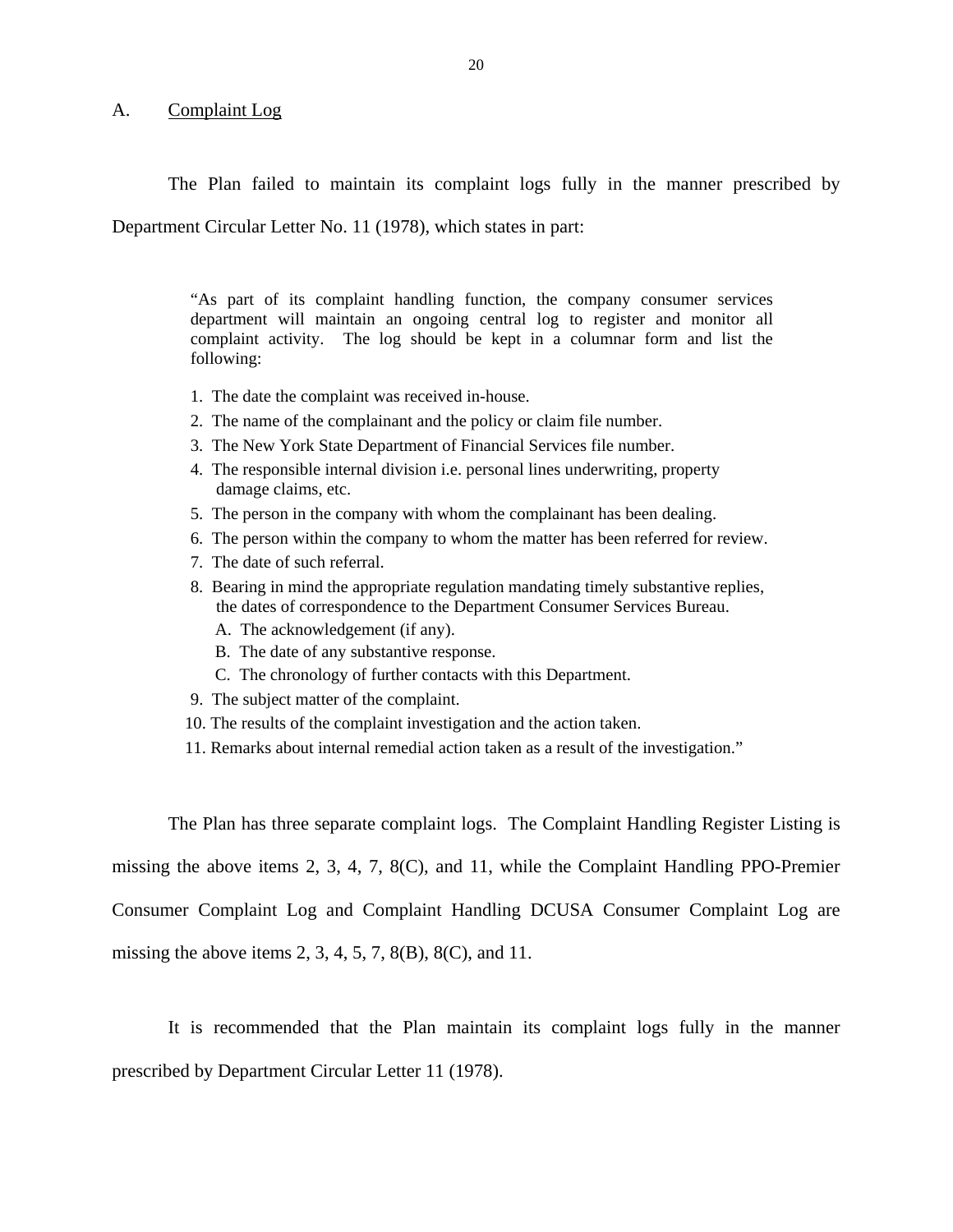### A. Complaint Log

The Plan failed to maintain its complaint logs fully in the manner prescribed by

Department Circular Letter No. 11 (1978), which states in part:

"As part of its complaint handling function, the company consumer services department will maintain an ongoing central log to register and monitor all complaint activity. The log should be kept in a columnar form and list the following:

- 1. The date the complaint was received in-house.
- 2. The name of the complainant and the policy or claim file number.
- 3. The New York State Department of Financial Services file number.
- 4. The responsible internal division i.e. personal lines underwriting, property damage claims, etc.
- 5. The person in the company with whom the complainant has been dealing.
- 6. The person within the company to whom the matter has been referred for review.
- 7. The date of such referral.
- 8. Bearing in mind the appropriate regulation mandating timely substantive replies, the dates of correspondence to the Department Consumer Services Bureau.
	- A. The acknowledgement (if any).
	- B. The date of any substantive response.
	- C. The chronology of further contacts with this Department.
- 9. The subject matter of the complaint.
- 10. The results of the complaint investigation and the action taken.
- 11. Remarks about internal remedial action taken as a result of the investigation."

The Plan has three separate complaint logs. The Complaint Handling Register Listing is missing the above items 2, 3, 4, 7, 8(C), and 11, while the Complaint Handling PPO-Premier Consumer Complaint Log and Complaint Handling DCUSA Consumer Complaint Log are missing the above items 2, 3, 4, 5, 7, 8(B), 8(C), and 11.

It is recommended that the Plan maintain its complaint logs fully in the manner prescribed by Department Circular Letter 11 (1978).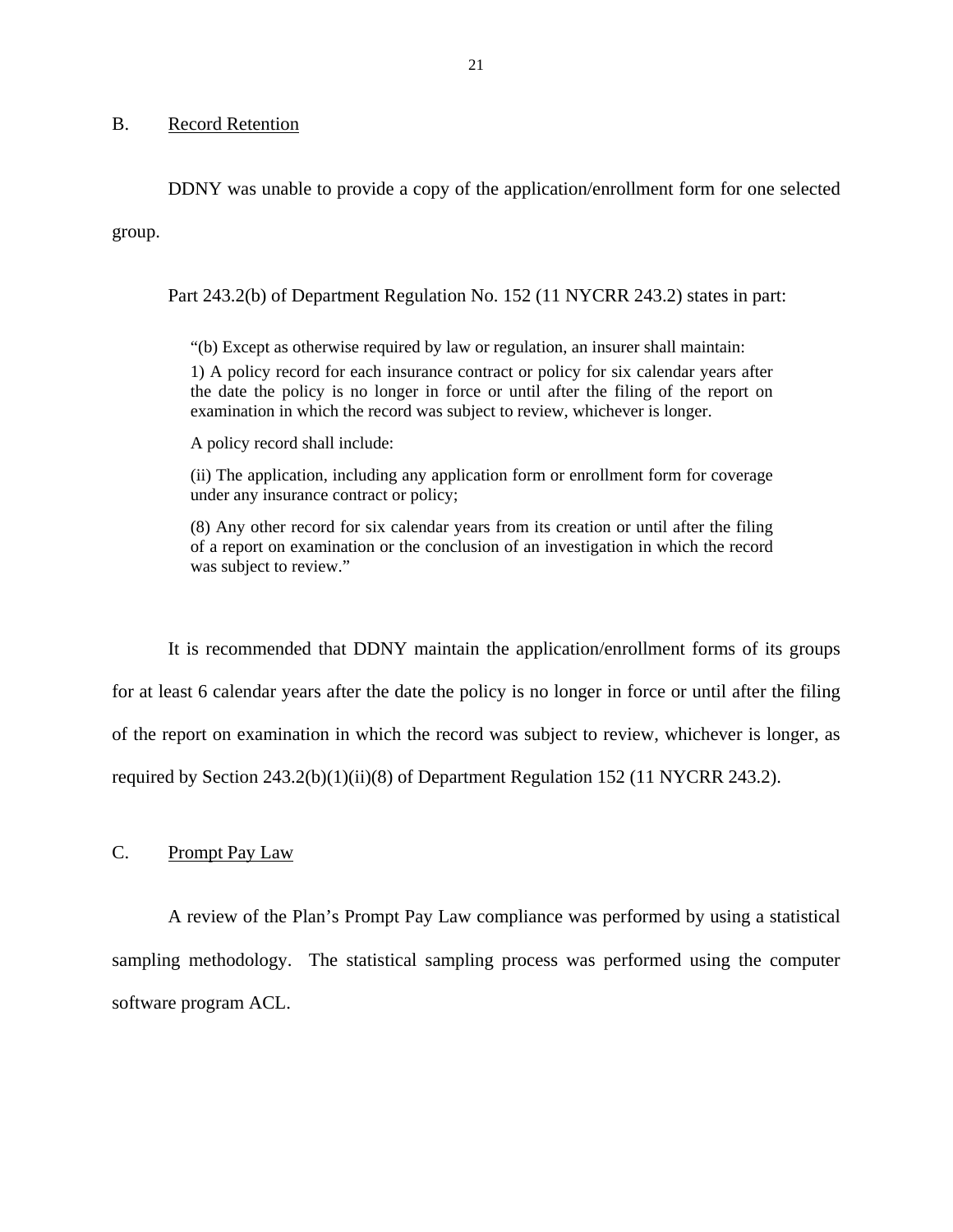### B. Record Retention

DDNY was unable to provide a copy of the application/enrollment form for one selected group.

Part 243.2(b) of Department Regulation No. 152 (11 NYCRR 243.2) states in part:

"(b) Except as otherwise required by law or regulation, an insurer shall maintain: 1) A policy record for each insurance contract or policy for six calendar years after the date the policy is no longer in force or until after the filing of the report on examination in which the record was subject to review, whichever is longer.

A policy record shall include:

(ii) The application, including any application form or enrollment form for coverage under any insurance contract or policy;

(8) Any other record for six calendar years from its creation or until after the filing of a report on examination or the conclusion of an investigation in which the record was subject to review."

It is recommended that DDNY maintain the application/enrollment forms of its groups for at least 6 calendar years after the date the policy is no longer in force or until after the filing of the report on examination in which the record was subject to review, whichever is longer, as required by Section 243.2(b)(1)(ii)(8) of Department Regulation 152 (11 NYCRR 243.2).

C. Prompt Pay Law

A review of the Plan's Prompt Pay Law compliance was performed by using a statistical sampling methodology. The statistical sampling process was performed using the computer software program ACL.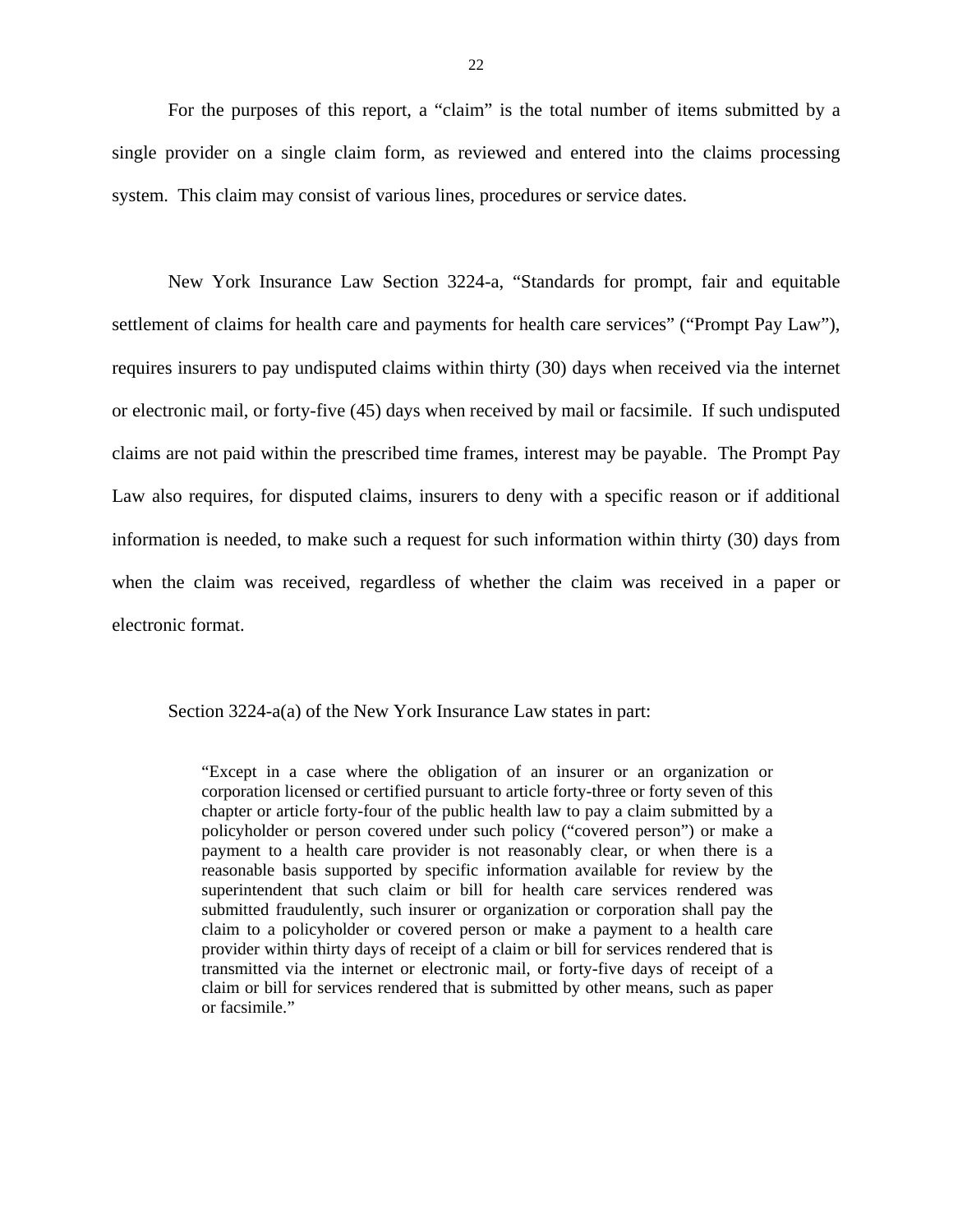For the purposes of this report, a "claim" is the total number of items submitted by a single provider on a single claim form, as reviewed and entered into the claims processing system. This claim may consist of various lines, procedures or service dates.

New York Insurance Law Section 3224-a, "Standards for prompt, fair and equitable settlement of claims for health care and payments for health care services" ("Prompt Pay Law"), requires insurers to pay undisputed claims within thirty (30) days when received via the internet or electronic mail, or forty-five (45) days when received by mail or facsimile. If such undisputed claims are not paid within the prescribed time frames, interest may be payable. The Prompt Pay Law also requires, for disputed claims, insurers to deny with a specific reason or if additional information is needed, to make such a request for such information within thirty (30) days from when the claim was received, regardless of whether the claim was received in a paper or electronic format.

Section 3224-a(a) of the New York Insurance Law states in part:

"Except in a case where the obligation of an insurer or an organization or corporation licensed or certified pursuant to article forty-three or forty seven of this chapter or article forty-four of the public health law to pay a claim submitted by a policyholder or person covered under such policy ("covered person") or make a payment to a health care provider is not reasonably clear, or when there is a reasonable basis supported by specific information available for review by the superintendent that such claim or bill for health care services rendered was submitted fraudulently, such insurer or organization or corporation shall pay the claim to a policyholder or covered person or make a payment to a health care provider within thirty days of receipt of a claim or bill for services rendered that is transmitted via the internet or electronic mail, or forty-five days of receipt of a claim or bill for services rendered that is submitted by other means, such as paper or facsimile."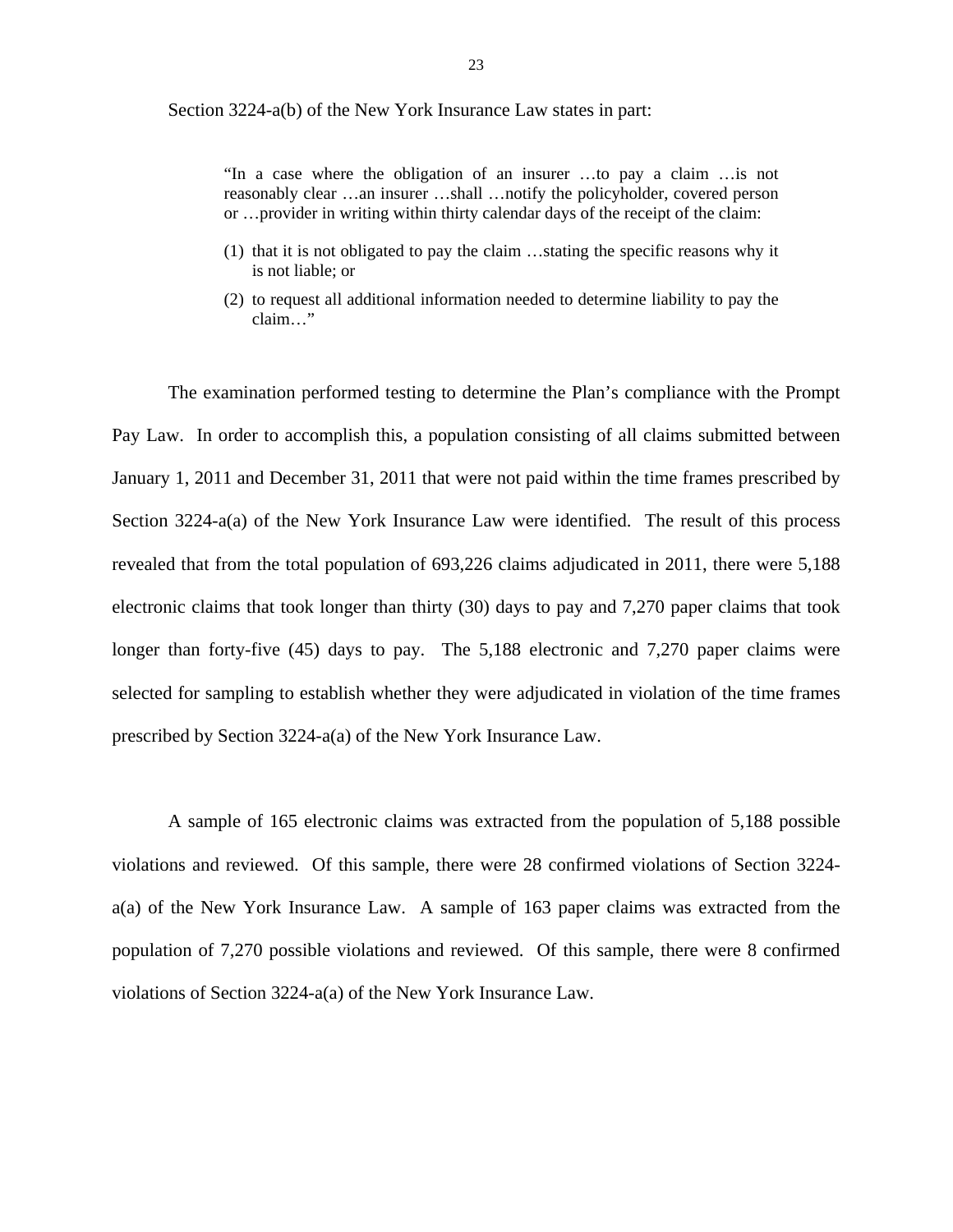Section 3224-a(b) of the New York Insurance Law states in part:

"In a case where the obligation of an insurer …to pay a claim …is not reasonably clear …an insurer …shall …notify the policyholder, covered person or …provider in writing within thirty calendar days of the receipt of the claim:

- (1) that it is not obligated to pay the claim …stating the specific reasons why it is not liable; or
- (2) to request all additional information needed to determine liability to pay the claim…"

The examination performed testing to determine the Plan's compliance with the Prompt Pay Law. In order to accomplish this, a population consisting of all claims submitted between January 1, 2011 and December 31, 2011 that were not paid within the time frames prescribed by Section 3224-a(a) of the New York Insurance Law were identified. The result of this process revealed that from the total population of 693,226 claims adjudicated in 2011, there were 5,188 electronic claims that took longer than thirty (30) days to pay and 7,270 paper claims that took longer than forty-five (45) days to pay. The 5,188 electronic and 7,270 paper claims were selected for sampling to establish whether they were adjudicated in violation of the time frames prescribed by Section 3224-a(a) of the New York Insurance Law.

A sample of 165 electronic claims was extracted from the population of 5,188 possible violations and reviewed. Of this sample, there were 28 confirmed violations of Section 3224 a(a) of the New York Insurance Law. A sample of 163 paper claims was extracted from the population of 7,270 possible violations and reviewed. Of this sample, there were 8 confirmed violations of Section 3224-a(a) of the New York Insurance Law.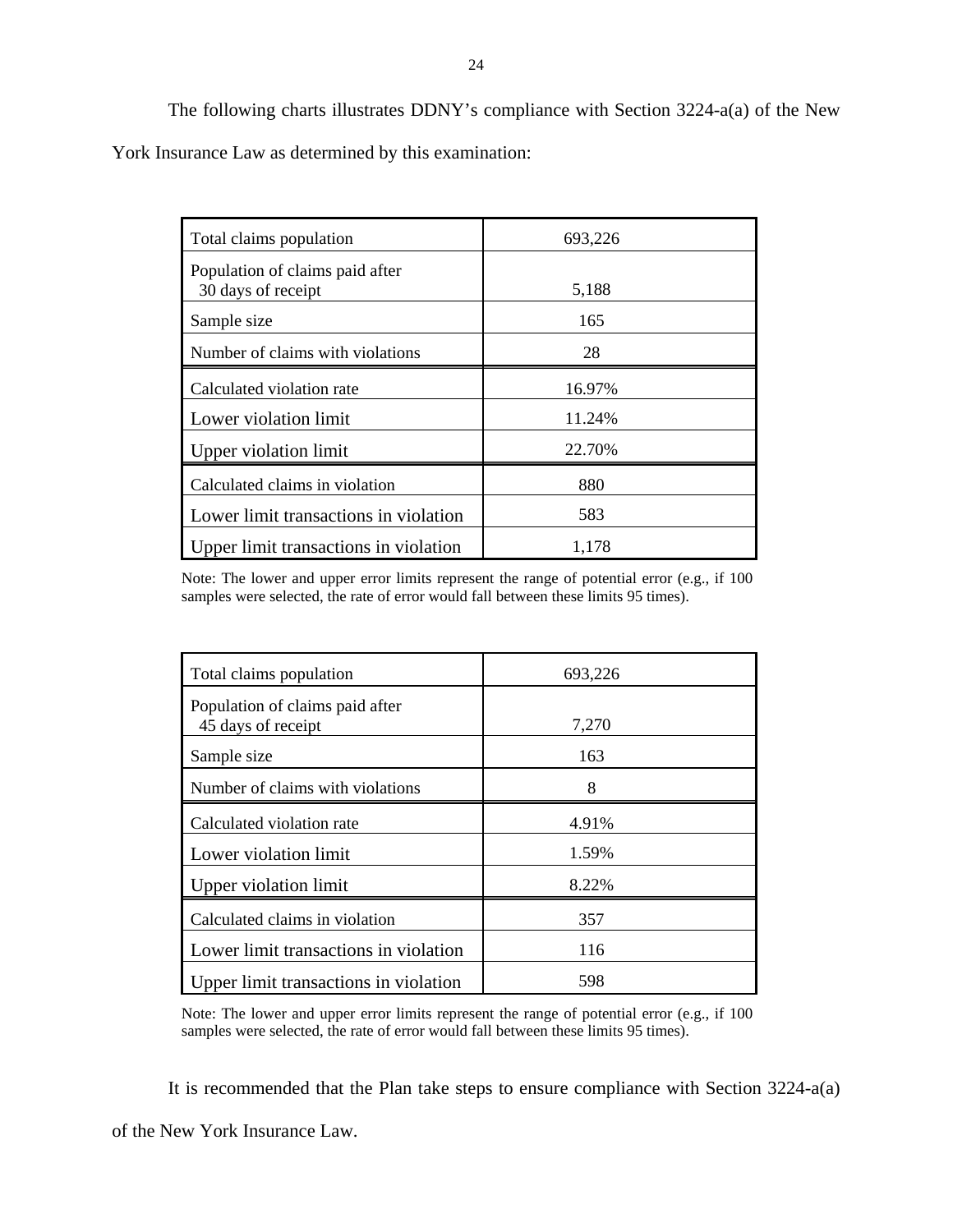The following charts illustrates DDNY's compliance with Section 3224-a(a) of the New York Insurance Law as determined by this examination:

| Total claims population                               | 693,226 |
|-------------------------------------------------------|---------|
| Population of claims paid after<br>30 days of receipt | 5,188   |
| Sample size                                           | 165     |
| Number of claims with violations                      | 28      |
| Calculated violation rate                             | 16.97%  |
| Lower violation limit                                 | 11.24%  |
| Upper violation limit                                 | 22.70%  |
| Calculated claims in violation                        | 880     |
| Lower limit transactions in violation                 | 583     |
| Upper limit transactions in violation                 | 1,178   |

 samples were selected, the rate of error would fall between these limits 95 times). Note: The lower and upper error limits represent the range of potential error (e.g., if 100

| Total claims population                               | 693,226 |
|-------------------------------------------------------|---------|
| Population of claims paid after<br>45 days of receipt | 7,270   |
| Sample size                                           | 163     |
| Number of claims with violations                      | 8       |
| Calculated violation rate                             | 4.91%   |
| Lower violation limit                                 | 1.59%   |
| Upper violation limit                                 | 8.22%   |
| Calculated claims in violation                        | 357     |
| Lower limit transactions in violation                 | 116     |
| Upper limit transactions in violation                 | 598     |

 samples were selected, the rate of error would fall between these limits 95 times). Note: The lower and upper error limits represent the range of potential error (e.g., if 100

It is recommended that the Plan take steps to ensure compliance with Section 3224-a(a)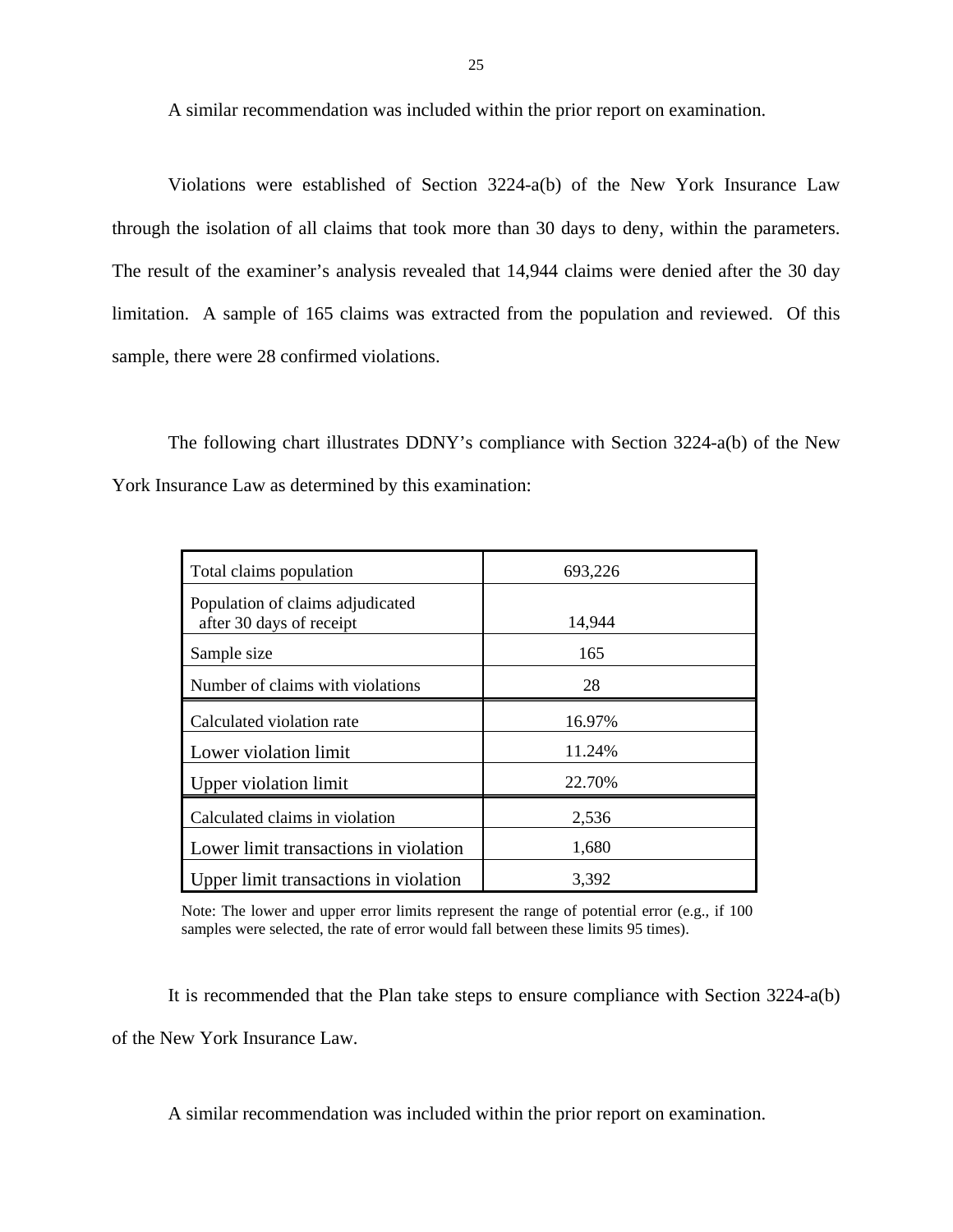A similar recommendation was included within the prior report on examination.

Violations were established of Section 3224-a(b) of the New York Insurance Law through the isolation of all claims that took more than 30 days to deny, within the parameters. The result of the examiner's analysis revealed that 14,944 claims were denied after the 30 day limitation. A sample of 165 claims was extracted from the population and reviewed. Of this sample, there were 28 confirmed violations.

The following chart illustrates DDNY's compliance with Section 3224-a(b) of the New York Insurance Law as determined by this examination:

| Total claims population                                      | 693,226 |
|--------------------------------------------------------------|---------|
| Population of claims adjudicated<br>after 30 days of receipt | 14,944  |
| Sample size                                                  | 165     |
| Number of claims with violations                             | 28      |
| Calculated violation rate                                    | 16.97%  |
| Lower violation limit                                        | 11.24%  |
| Upper violation limit                                        | 22.70%  |
| Calculated claims in violation                               | 2,536   |
| Lower limit transactions in violation                        | 1,680   |
| Upper limit transactions in violation                        | 3,392   |

 samples were selected, the rate of error would fall between these limits 95 times). Note: The lower and upper error limits represent the range of potential error (e.g., if 100

It is recommended that the Plan take steps to ensure compliance with Section 3224-a(b) of the New York Insurance Law.

A similar recommendation was included within the prior report on examination.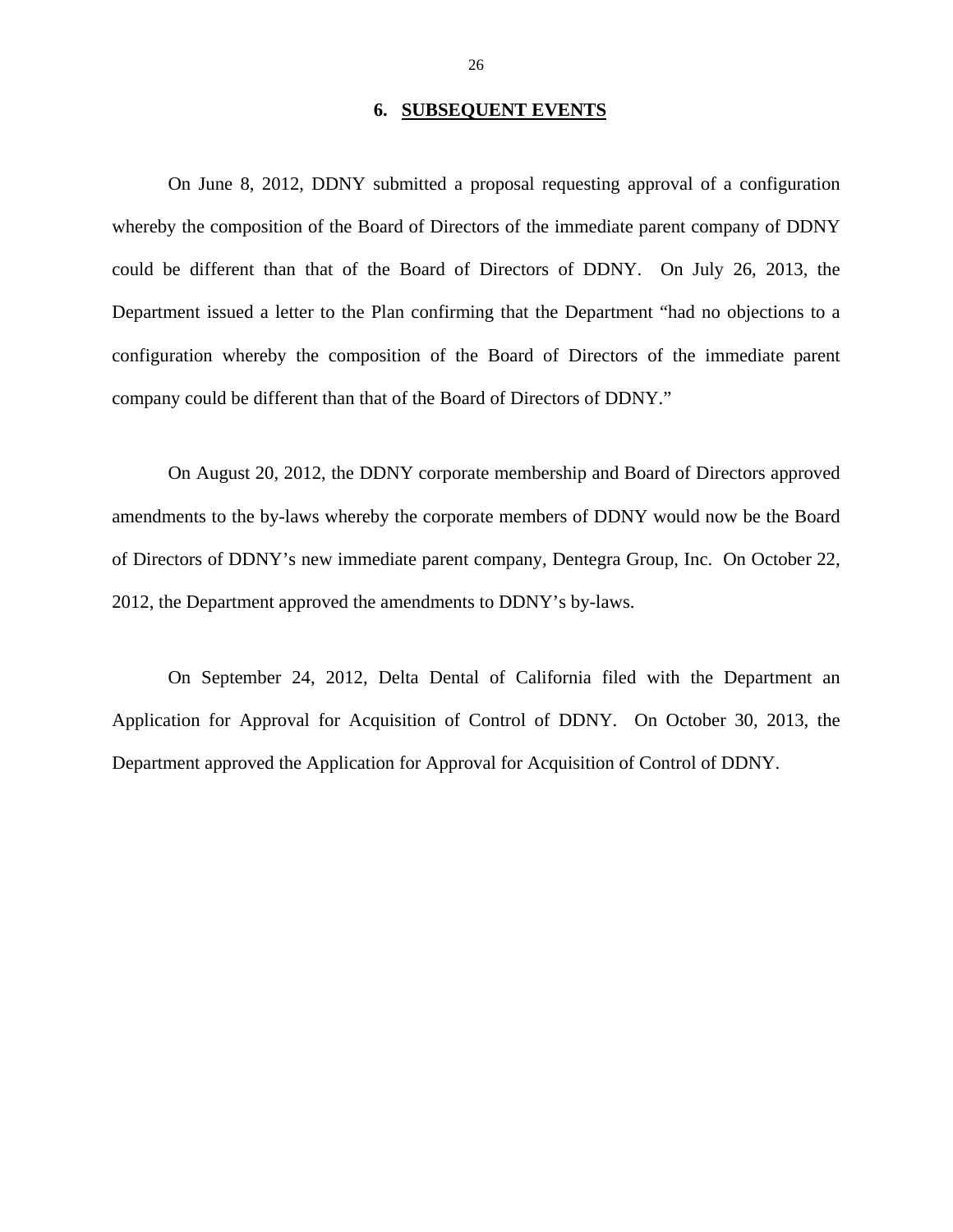### **6. SUBSEQUENT EVENTS**

On June 8, 2012, DDNY submitted a proposal requesting approval of a configuration whereby the composition of the Board of Directors of the immediate parent company of DDNY could be different than that of the Board of Directors of DDNY. On July 26, 2013, the Department issued a letter to the Plan confirming that the Department "had no objections to a configuration whereby the composition of the Board of Directors of the immediate parent company could be different than that of the Board of Directors of DDNY."

On August 20, 2012, the DDNY corporate membership and Board of Directors approved amendments to the by-laws whereby the corporate members of DDNY would now be the Board of Directors of DDNY's new immediate parent company, Dentegra Group, Inc. On October 22, 2012, the Department approved the amendments to DDNY's by-laws.

On September 24, 2012, Delta Dental of California filed with the Department an Application for Approval for Acquisition of Control of DDNY. On October 30, 2013, the Department approved the Application for Approval for Acquisition of Control of DDNY.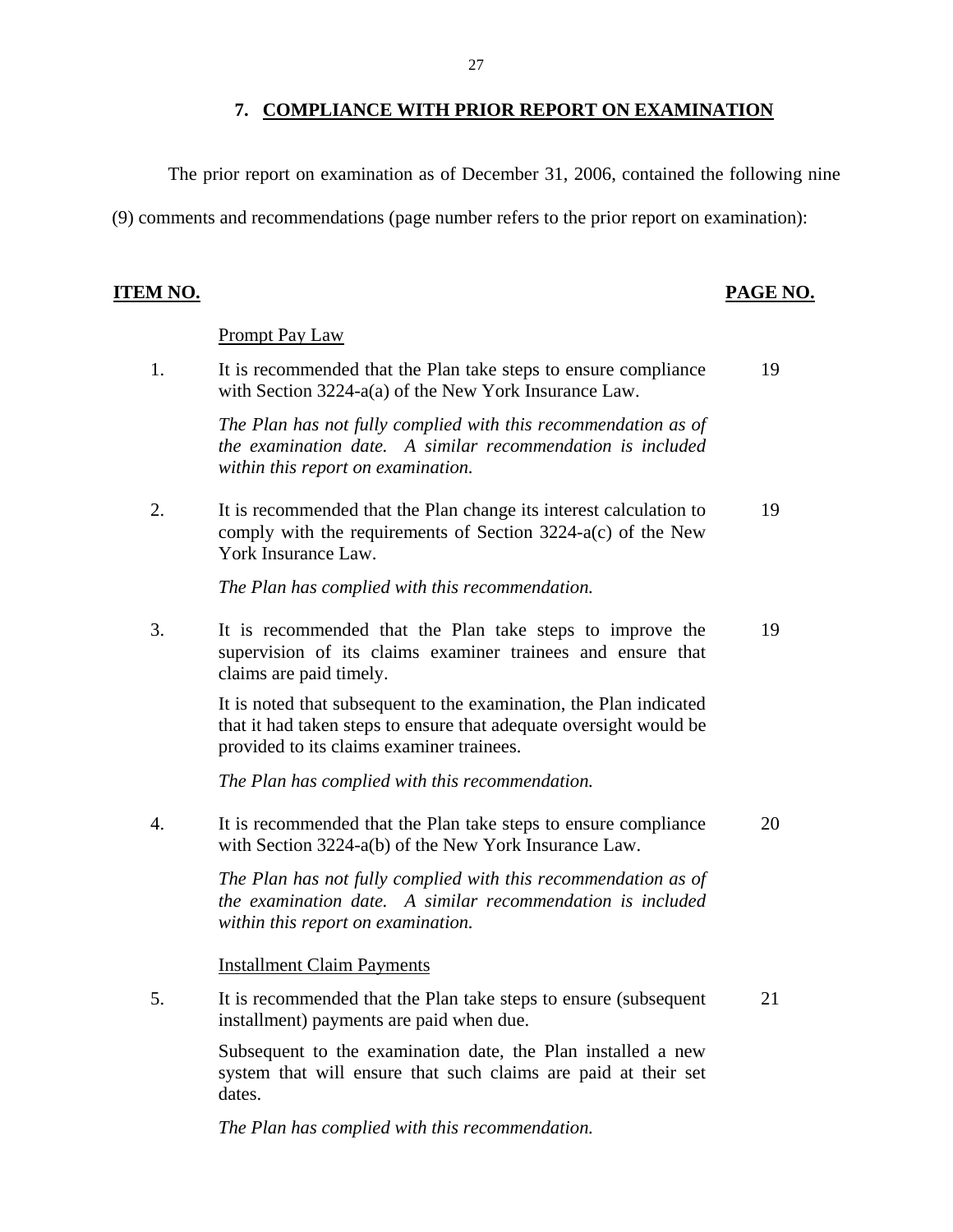### **7. COMPLIANCE WITH PRIOR REPORT ON EXAMINATION**

The prior report on examination as of December 31, 2006, contained the following nine

(9) comments and recommendations (page number refers to the prior report on examination):

### **ITEM NO. PAGE NO.**

### Prompt Pay Law

1. It is recommended that the Plan take steps to ensure compliance 19 with Section 3224-a(a) of the New York Insurance Law.

> *The Plan has not fully complied with this recommendation as of the examination date. A similar recommendation is included within this report on examination.*

2. It is recommended that the Plan change its interest calculation to 19 comply with the requirements of Section 3224-a(c) of the New York Insurance Law.

*The Plan has complied with this recommendation.* 

3. It is recommended that the Plan take steps to improve the 19 supervision of its claims examiner trainees and ensure that claims are paid timely.

> It is noted that subsequent to the examination, the Plan indicated that it had taken steps to ensure that adequate oversight would be provided to its claims examiner trainees.

*The Plan has complied with this recommendation.* 

4. It is recommended that the Plan take steps to ensure compliance 20 with Section 3224-a(b) of the New York Insurance Law.

> *The Plan has not fully complied with this recommendation as of the examination date. A similar recommendation is included within this report on examination.*

Installment Claim Payments

5. It is recommended that the Plan take steps to ensure (subsequent 21 installment) payments are paid when due.

> Subsequent to the examination date, the Plan installed a new system that will ensure that such claims are paid at their set dates.

*The Plan has complied with this recommendation.*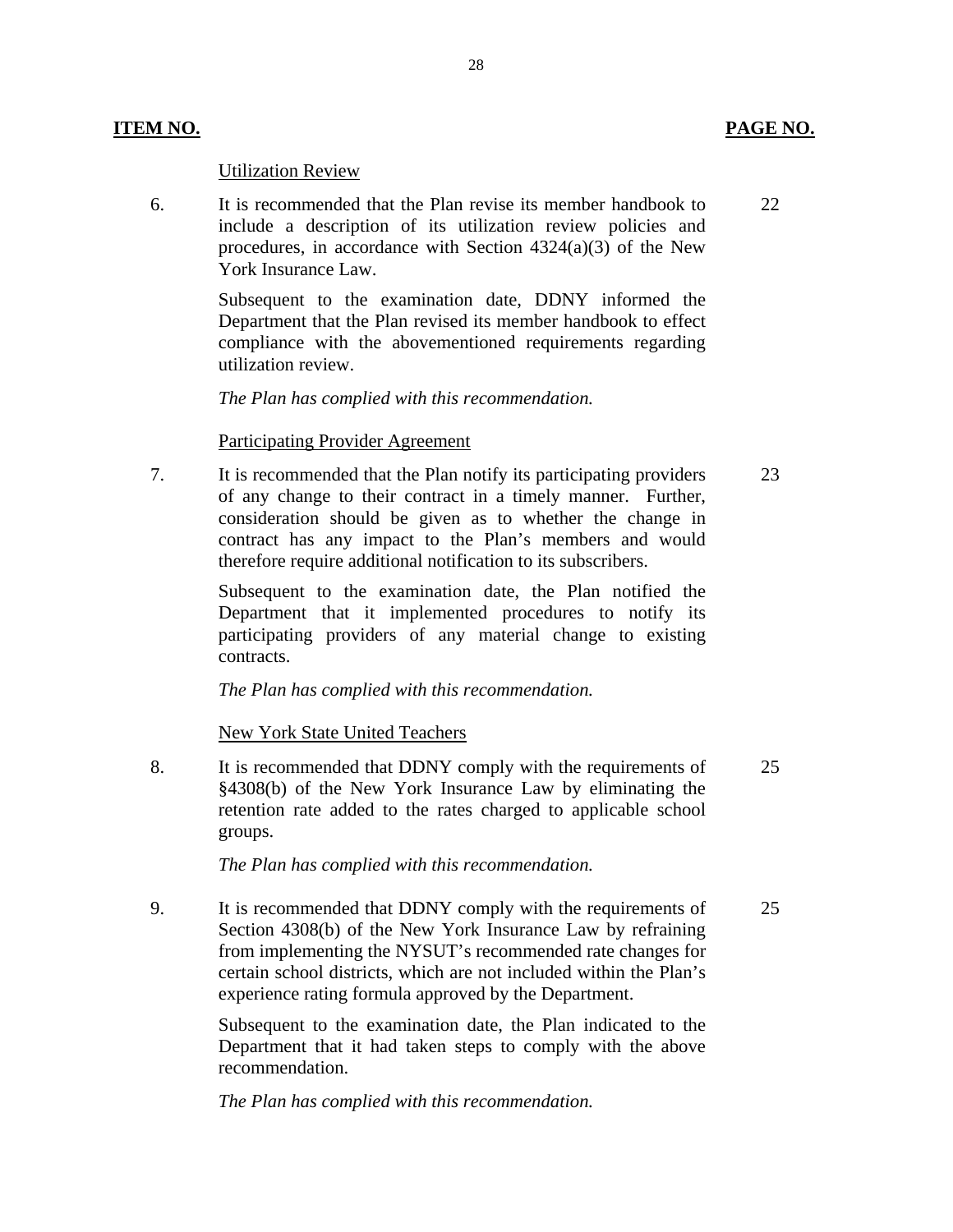### Utilization Review

6. It is recommended that the Plan revise its member handbook to 22 include a description of its utilization review policies and procedures, in accordance with Section 4324(a)(3) of the New York Insurance Law.

> Subsequent to the examination date, DDNY informed the Department that the Plan revised its member handbook to effect compliance with the abovementioned requirements regarding utilization review.

28

*The Plan has complied with this recommendation.* 

### Participating Provider Agreement

7. It is recommended that the Plan notify its participating providers 23 of any change to their contract in a timely manner. Further, consideration should be given as to whether the change in contract has any impact to the Plan's members and would therefore require additional notification to its subscribers.

> Subsequent to the examination date, the Plan notified the Department that it implemented procedures to notify its participating providers of any material change to existing contracts.

*The Plan has complied with this recommendation.* 

New York State United Teachers

8. It is recommended that DDNY comply with the requirements of 25 §4308(b) of the New York Insurance Law by eliminating the retention rate added to the rates charged to applicable school groups.

*The Plan has complied with this recommendation.* 

9. It is recommended that DDNY comply with the requirements of 25 Section 4308(b) of the New York Insurance Law by refraining from implementing the NYSUT's recommended rate changes for certain school districts, which are not included within the Plan's experience rating formula approved by the Department.

> Subsequent to the examination date, the Plan indicated to the Department that it had taken steps to comply with the above recommendation.

*The Plan has complied with this recommendation.*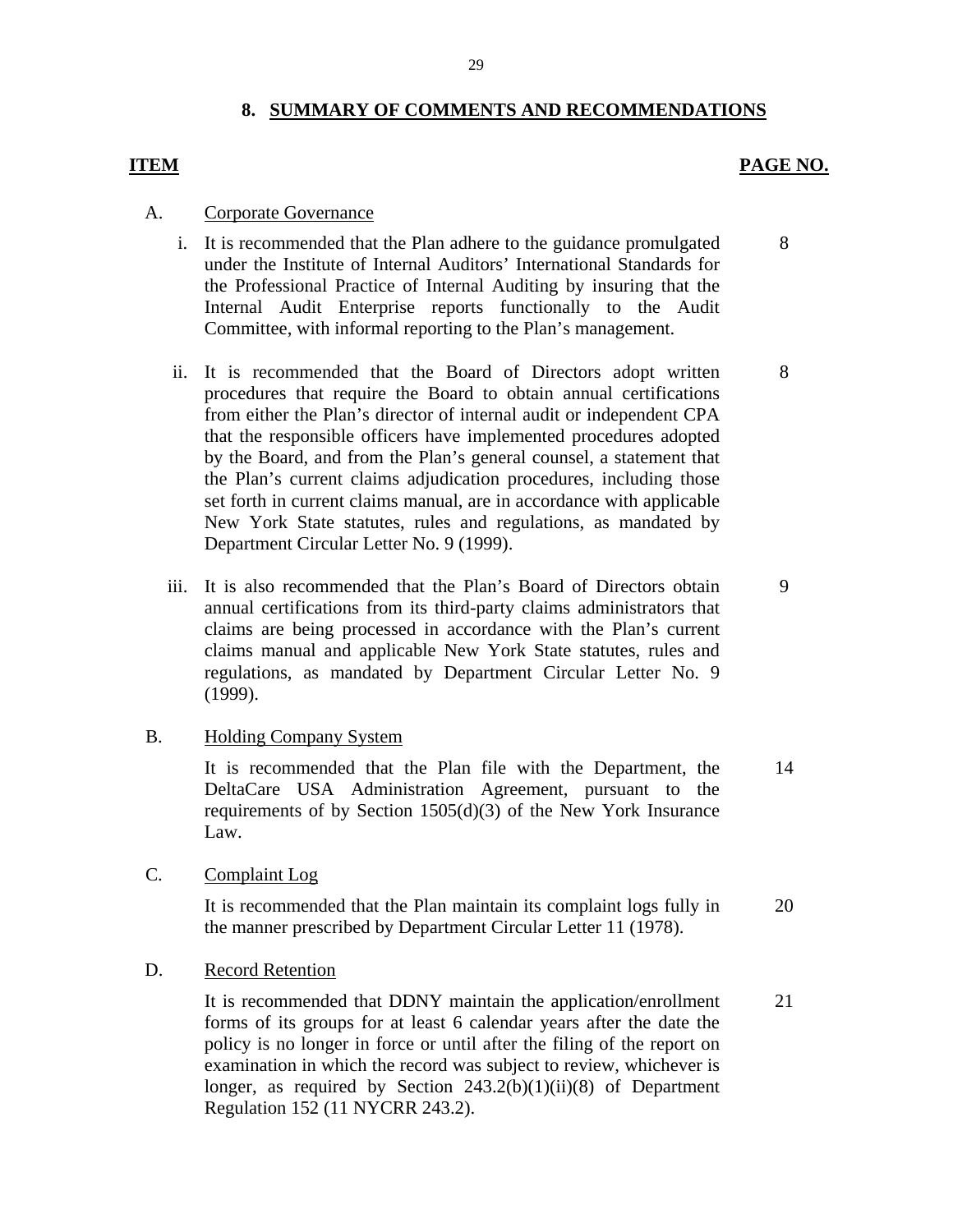### **8. SUMMARY OF COMMENTS AND RECOMMENDATIONS**

### **ITEM PAGE NO.**

8

8

### A. Corporate Governance

- i. It is recommended that the Plan adhere to the guidance promulgated under the Institute of Internal Auditors' International Standards for the Professional Practice of Internal Auditing by insuring that the Internal Audit Enterprise reports functionally to the Audit Committee, with informal reporting to the Plan's management.
- ii. It is recommended that the Board of Directors adopt written procedures that require the Board to obtain annual certifications from either the Plan's director of internal audit or independent CPA that the responsible officers have implemented procedures adopted by the Board, and from the Plan's general counsel, a statement that the Plan's current claims adjudication procedures, including those set forth in current claims manual, are in accordance with applicable New York State statutes, rules and regulations, as mandated by Department Circular Letter No. 9 (1999).
- iii. It is also recommended that the Plan's Board of Directors obtain 9 annual certifications from its third-party claims administrators that claims are being processed in accordance with the Plan's current claims manual and applicable New York State statutes, rules and regulations, as mandated by Department Circular Letter No. 9 (1999).

### B. Holding Company System

It is recommended that the Plan file with the Department, the DeltaCare USA Administration Agreement, pursuant to the requirements of by Section 1505(d)(3) of the New York Insurance Law. 14

C. Complaint Log

It is recommended that the Plan maintain its complaint logs fully in the manner prescribed by Department Circular Letter 11 (1978). 20

### D. Record Retention

It is recommended that DDNY maintain the application/enrollment forms of its groups for at least 6 calendar years after the date the policy is no longer in force or until after the filing of the report on examination in which the record was subject to review, whichever is longer, as required by Section  $243.2(b)(1)(ii)(8)$  of Department Regulation 152 (11 NYCRR 243.2). 21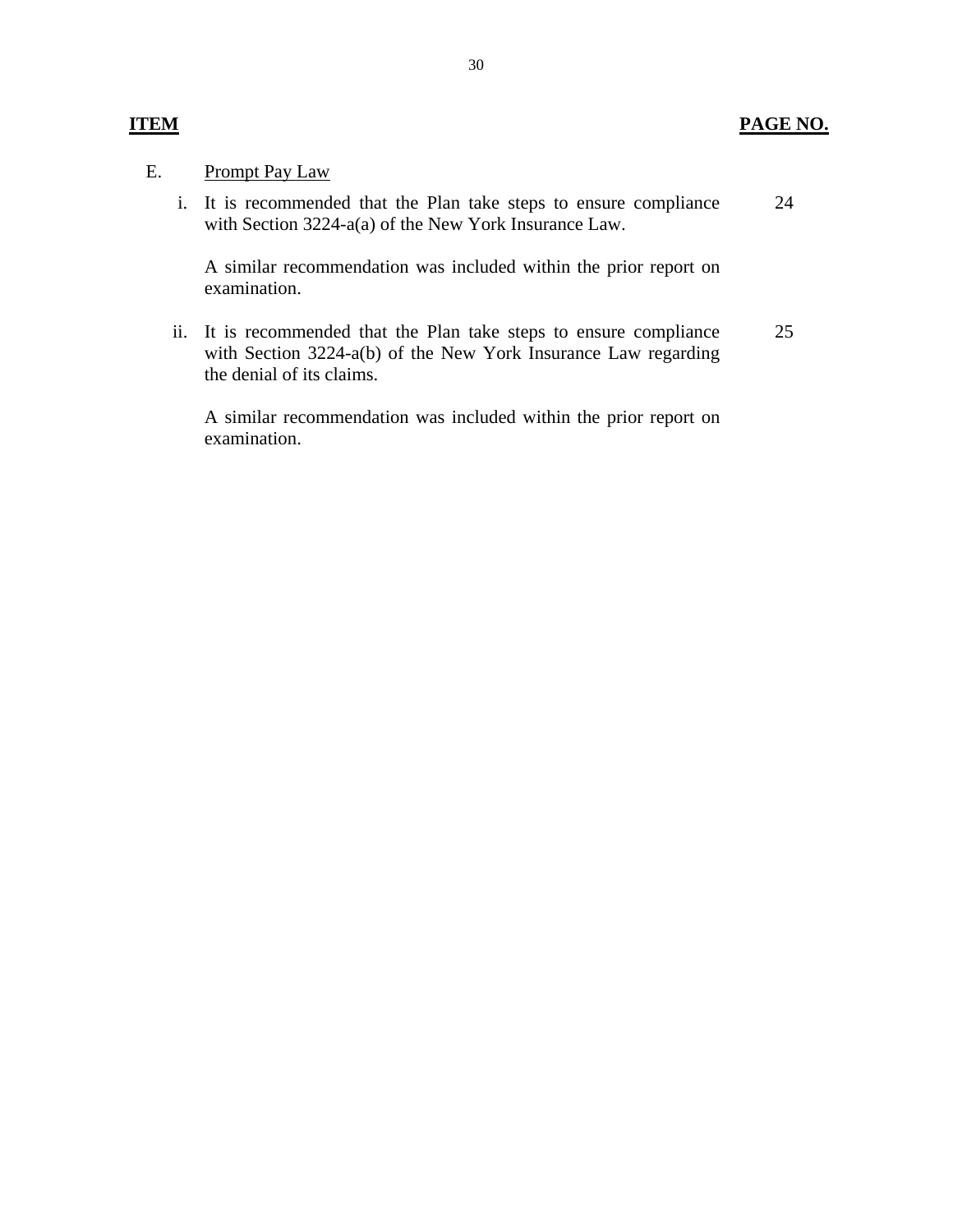### **ITEM PAGE NO.**

### E. Prompt Pay Law

i. It is recommended that the Plan take steps to ensure compliance with Section 3224-a(a) of the New York Insurance Law. 24

A similar recommendation was included within the prior report on examination.

ii. It is recommended that the Plan take steps to ensure compliance with Section 3224-a(b) of the New York Insurance Law regarding the denial of its claims. 25

A similar recommendation was included within the prior report on examination.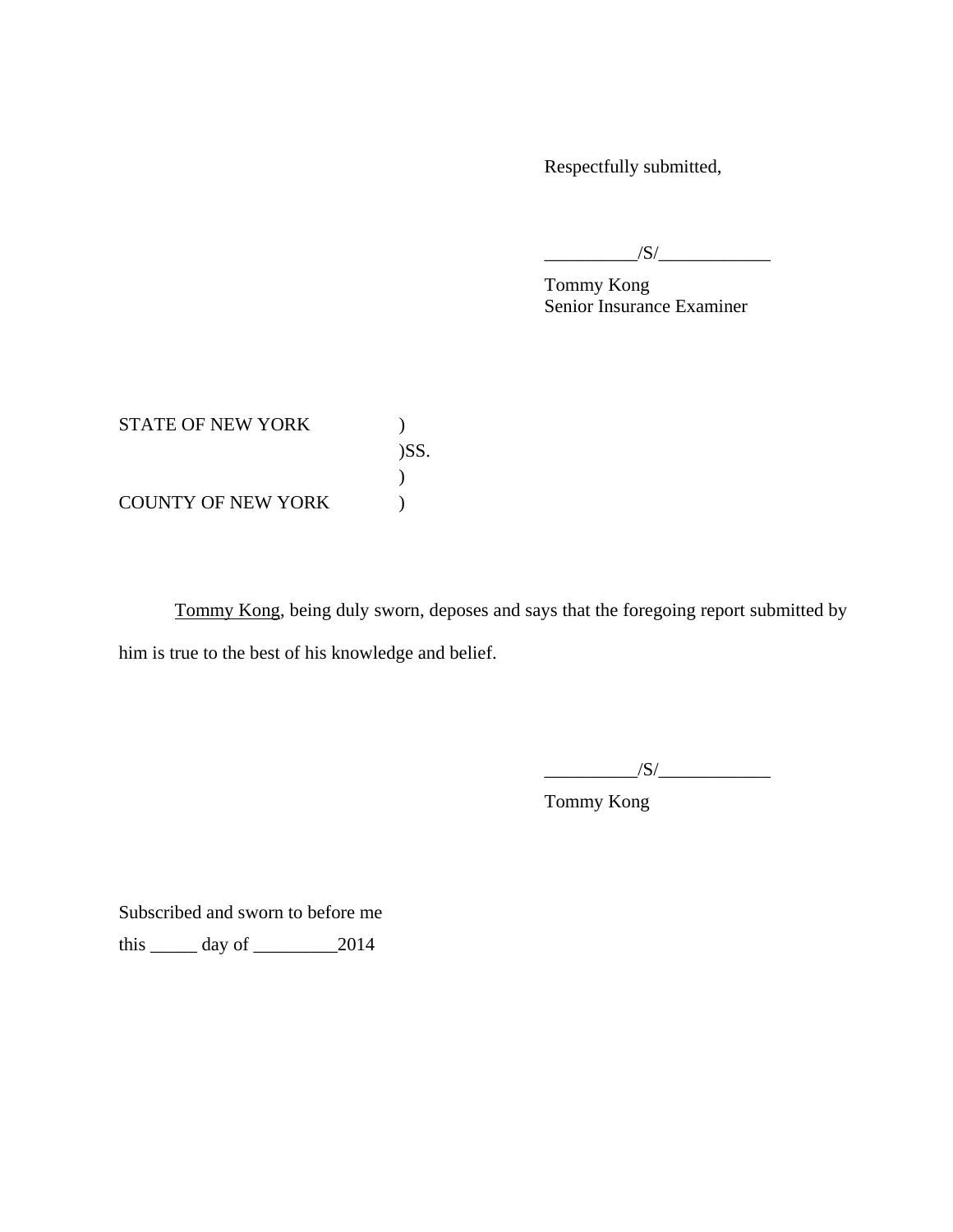Respectfully submitted,

 $\sqrt{S}/$ 

Tommy Kong Senior Insurance Examiner

STATE OF NEW YORK  $)$ )SS.  $\mathcal{L}$ COUNTY OF NEW YORK  $)$ 

Tommy Kong, being duly sworn, deposes and says that the foregoing report submitted by him is true to the best of his knowledge and belief.

 $\sqrt{S/}$ 

Tommy Kong

Subscribed and sworn to before me

this  $\_\_\_\$  day of  $\_\_\_\_\_2$  2014